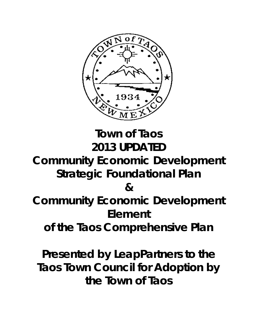

# **Town of Taos** *2013 UPDATED*

# **Community Economic Development Strategic Foundational Plan**

**&**

**Community Economic Development Element** 

**of the Taos Comprehensive Plan**

**Presented by LeapPartners to the Taos Town Council for Adoption by the Town of Taos**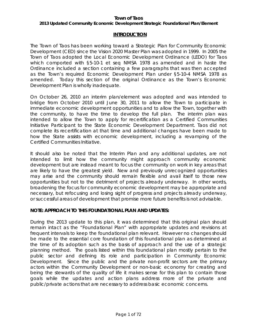## *2013 Updated Community Economic Development Strategic Foundational Plan/Element*

#### **INTRODUCTION**

The Town of Taos has been working toward a Strategic Plan for Community Economic Development (CED) since the Vision 2020 Master Plan was adopted in 1999. In 2005 the Town of Taos adopted the Local Economic Development Ordinance (LEDO) for Taos which comported with §5-10-1 *et seq* NMSA 1978 as amended and in haste the Ordinance included a section containing a few paragraphs that was then accepted as the Town's required Economic Development Plan under §5-10-4 NMSA 1978 as amended. Today this section of the original Ordinance as the Town's Economic Development Plan is wholly inadequate.

On October 26, 2010 an interim plan/element was adopted and was intended to bridge from October 2010 until June 30, 2011 to allow the Town to participate in immediate economic development opportunities and to allow the Town, together with the community, to have the time to develop the full plan. The interim plan was intended to allow the Town to apply for recertification as a Certified Communities Initiative Participant to the State Economic Development Department. Taos did not complete its recertification at that time and additional changes have been made to how the State assists with economic development, including a revamping of the Certified Communities Initiative.

It should also be noted that the Interim Plan and any additional updates, are not intended to limit how the community might approach community economic development but are instead meant to focus the community on work in key areas that are likely to have the greatest yield. New and previously unrecognized opportunities may arise and the community should remain flexible and avail itself to those new opportunities but not to the detriment of projects already underway. In other words, broadening the focus for community economic development may be appropriate and necessary, but refocusing and losing sight of progress and projects already underway, or successful areas of development that promise more future benefits is not advisable.

#### **NOTE: APPROACH TO THIS FOUNDATIONAL PLAN AND UPDATES:**

During the 2013 update to this plan, it was determined that this original plan should remain intact as the "Foundational Plan" with appropriate updates and revisions at frequent intervals to keep the foundational plan relevant. However no changes should be made to the essential core foundation of this foundational plan as determined at the time of its adoption such as the basis of approach and the use of a strategic planning method. The goals listed within this foundational plan mostly pertain to the public sector and defining its role and participation in Community Economic Development. Since the public and the private non-profit sectors are the primary actors within the Community Development or non-basic economy for creating and being the stewards of the quality of life it makes sense for this plan to contain those goals while the updates and action plans address more of the private and public/private actions that are necessary to address basic economic concerns.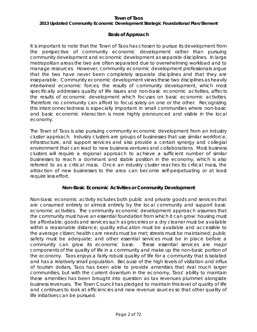#### *2013 Updated Community Economic Development Strategic Foundational Plan/Element*

# *Basis of Approach*

It is important to note that the Town of Taos has chosen to pursue its development from the perspective of community economic development rather than pursuing community development and economic development as separate disciplines. In large metropolitan areas the two are often separated due to overwhelming workload and to manage resources. However, community economic development professionals argue that the two have never been completely separate disciplines and that they are inseparable. Community economic development views these two disciplines as heavily intertwined economic forces; the results of community development, which most specifically addresses quality of life issues and non-basic economic activities, affects the results of economic development which focuses on basic economic activities. Therefore no community can afford to focus solely on one or the other. Recognizing this interconnectedness is especially important in small communities where non-basic and basic economic interaction is more highly pronounced and visible in the local economy.

The Town of Taos is also pursuing community economic development from an industry cluster approach. Industry clusters are groups of businesses that use similar workforce, infrastructure, and support services and also provide a certain synergy and collegial environment that can lead to new business ventures and collaborations. Most business clusters will require a regional approach to achieve a sufficient number of similar businesses to reach a dominant and stable position in the economy, which is also referred to as a critical mass. Once an industry cluster reaches its critical mass, the attraction of new businesses to the area can become self-perpetuating or at least require less effort.

# *Non-Basic Economic Activities or Community Development*

Non-basic economic activity includes both public and private goods and services that are consumed entirely or almost entirely by the local community and support basic economic activities. The community economic development approach assumes that the community must have an essential foundation from which it can grow: housing must be affordable; goods and services such as groceries or a dry cleaner must be available within a reasonable distance; quality education must be available and accessible to the average citizen; health care needs must be met; streets must be maintained; public safety must be adequate; and other essential services must be in place before a community can grow its economic base. These essential services are major components of the quality of life in a community and make up the non-basic portion of the economy. Taos enjoys a fairly robust quality of life for a community that is isolated and has a relatively small population. Because of the high levels of visitation and influx of tourism dollars, Taos has been able to provide amenities that rival much larger communities, but with the current downturn in the economy, Taos' ability to maintain these amenities has been brought into question as tax revenues plummet alongside business revenues. The Town Council has pledged to maintain this level of quality of life and continues to look at efficiencies and new revenue sources so that other quality of life initiatives can be pursued.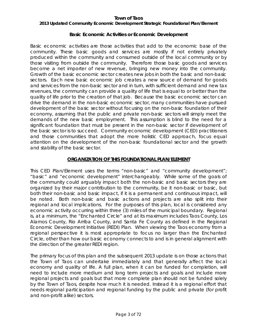# *2013 Updated Community Economic Development Strategic Foundational Plan/Element*

### *Basic Economic Activities or Economic Development*

Basic economic activities are those activities that add to the economic base of the community. These basic goods and services are mostly if not entirely privately produced within the community and consumed outside of the local community or by those visiting from outside the community. Therefore those basic goods and services become a net importer of new revenue, bringing new money into the community. Growth of the basic economic sector creates new jobs in both the basic and non-basic sectors. Each new basic economic job creates a new source of demand for goods and services from the non-basic sector and in turn, with sufficient demand and new tax revenues, the community can provide a quality of life that is equal to or better than the quality of life prior to the creation of that job. Because the basic economic sector can drive the demand in the non-basic economic sector, many communities have pursued development of the basic sector without focusing on the non-basic foundation of their economy, assuming that the public and private non-basic sectors will simply meet the demands of the new basic employment. This assumption is blind to the need for a significant foundation that must be present in the non-basic sector if development of the basic sector is to succeed. Community economic development (CED) practitioners and those communities that adopt the more holistic CED approach, focus equal attention on the development of the non-basic foundational sector and the growth and stability of the basic sector.

# **ORGANIZATION OF THIS FOUNDATIONAL PLAN/ELEMENT**

This CED Plan/Element uses the terms "non-basic" and "community development"; "basic" and "economic development" interchangeably. While some of the goals of the community could arguably impact both the non-basic and basic sectors they are organized by their major contribution to the community, be it non-basic or basic, but both their non-basic and basic impact, if it is a permanent and continuous impact, will be noted. Both non-basic and basic actions and projects are also split into their regional and local implications. For the purposes of this plan, local is considered any economic activity occurring within three (3) miles of the municipal boundary. Regional is, at a minimum, the "Enchanted Circle" and at its maximum includes Taos County, Los Alamos County, Rio Arriba County, and Santa Fe County as defined in the Regional Economic Development Initiative (REDI) Plan. When viewing the Taos economy from a regional perspective it is most appropriate to focus no larger than the Enchanted Circle, other than how our basic economy connects to and is in general alignment with the direction of the greater REDI region.

The primary focus of this plan and the subsequent 2013 update is on those actions that the Town of Taos can undertake immediately and that generally affect the local economy and quality of life. A full plan, when it can be funded for completion, will need to include more medium and long term projects and goals and include more regional projects and goals but that more complete plan should not be funded solely by the Town of Taos, despite how much it is needed. Instead it is a regional effort that needs regional participation and regional funding by the public and private (for profit and non-profit alike) sectors.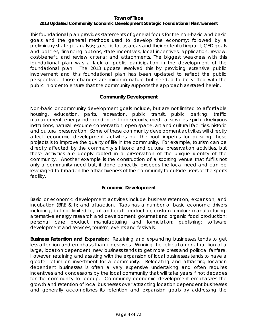# *2013 Updated Community Economic Development Strategic Foundational Plan/Element*

This foundational plan provides statements of general focus for the non-basic and basic goals and the general methods used to develop the economy; followed by a preliminary strategic analysis; specific focus areas and their potential impact; CED goals and policies; financing options; state incentives; local incentives; application, review, cost-benefit, and review criteria; and attachments. The biggest weakness with this foundational plan was a lack of public participation in the development of the foundational plan. The 2013 update resolved this by providing extensive public involvement and this foundational plan has been updated to reflect the public perspective. Those changes are minor in nature but needed to be vetted with the public in order to ensure that the community supports the approach as stated herein.

# *Community Development*

Non-basic or community development goals include, but are not limited to affordable housing, education, parks, recreation, public transit, public parking, traffic management, energy independence, food security, medical services, spiritual/religious institutions, natural resource conservation, open space, art and cultural facilities, historic and cultural preservation. Some of these community development activities will directly affect economic development activities but the root impetus for pursuing these projects is to improve the quality of life in the community. For example, tourism can be directly affected by the community's historic and cultural preservation activities, but these activities are deeply rooted in a preservation of the unique identity of the community. Another example is the construction of a sporting venue that fulfills not only a community need but, if done correctly, exceeds the local need and can be leveraged to broaden the attractiveness of the community to outside users of the sports facility.

# *Economic Development*

Basic or economic development activities include business retention, expansion, and incubation (BRE & I); and attraction. Taos has a number of basic economic drivers including, but not limited to, art and craft production; custom furniture manufacturing; alternative energy research and development; gourmet and organic food production; personal care product manufacturing and formulation; publishing; software development and services; tourism; events and festivals.

**Business Retention and Expansion:** Retaining and expanding businesses tends to get less attention and emphasis than it deserves. Winning the relocation or attraction of a large, location dependent, new business tends to get more press and political fanfare. However, retaining and assisting with the expansion of local businesses tends to have a greater return on investment for a community. Relocating and attracting location dependent businesses is often a very expensive undertaking and often requires incentives and concessions by the local community that will take years if not decades for the community to recoup. Community economic development emphasizes the growth and retention of local businesses over attracting location dependent businesses and generally accomplishes its retention and expansion goals by addressing the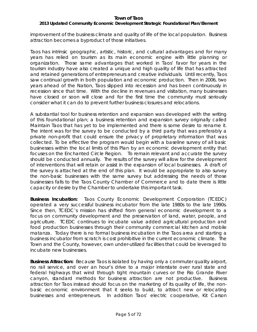# *2013 Updated Community Economic Development Strategic Foundational Plan/Element*

improvement of the business climate and quality of life of the local population. Business attraction becomes a byproduct of those initiatives.

Taos has intrinsic geographic, artistic, historic, and cultural advantages and for many years has relied on tourism as its main economic engine with little planning or organization. Those same advantages that worked in Taos' favor for years in the tourism industry have also created a unique and high quality of life that has attracted and retained generations of entrepreneurs and creative individuals. Until recently, Taos saw continual growth in both population and economic production. Then in 2006, two years ahead of the Nation, Taos slipped into recession and has been continuously in recession since that time. With the decline in revenues and visitation, many businesses have closed or soon will close and for the first time the community must seriously consider what it can do to prevent further business closures and relocations.

A substantial tool for business retention and expansion was developed with the writing of this foundational plan; a business retention and expansion survey originally called *Maintain Taos* that has yet to be implemented and there is some desire to rename it*.*  The intent was for the survey to be conducted by a third party that was preferably a private non-profit that could ensure the privacy of proprietary information that was collected. To be effective the program would begin with a baseline survey of all basic businesses within the local limits of this Plan by an economic development entity that focuses on the Enchanted Circle Region. To remain relevant and accurate the survey should be conducted annually. The results of the survey will allow for the development of interventions that will retain or assist in the expansion of local businesses. A draft of the survey is attached at the end of this plan. It would be appropriate to also survey the non-basic businesses with the same survey but addressing the needs of those businesses falls to the Taos County Chamber of Commerce and to date there is little capacity or desire by the Chamber to undertake this important task.

**Business Incubation:** Taos County Economic Development Corporation (TCEDC) operated a very successful business incubator from the late 1980s to the late 1990s. Since then, TCEDC's mission has shifted from general economic development to a focus on community development and the preservation of land, water, people, and agriculture. TCEDC continues to incubate value added agricultural production and food production businesses through their community commercial kitchen and mobile matanza. Today there is no formal business incubation in the Taos area and starting a business incubator from scratch is cost prohibitive in the current economic climate. The Town and the County, however, own under-utilized facilities that could be leveraged to incubate new businesses.

**Business Attraction:** Because Taos is isolated by having only a commuter quality airport, no rail service, and over an hour's drive to a major interstate over rural state and federal highways that wind through tight mountain curves or the Rio Grande River canyon, standard methods for business attraction are not productive. Business attraction for Taos instead should focus on the marketing of its quality of life, the nonbasic economic environment that it seeks to build, to attract new or relocating businesses and entrepreneurs. In addition Taos' electric cooperative, Kit Carson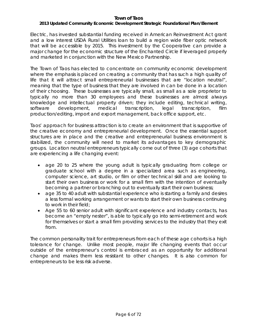# *2013 Updated Community Economic Development Strategic Foundational Plan/Element*

Electric, has invested substantial funding received in American Reinvestment Act grant and a low interest USDA Rural Utilities loan to build a region wide fiber optic network that will be accessible by 2015. This investment by the Cooperative can provide a major change for the economic structure of the Enchanted Circle if leveraged properly and marketed in conjunction with the New Mexico Partnership.

The Town of Taos has elected to concentrate on community economic development where the emphasis is placed on creating a community that has such a high quality of life that it will attract small entrepreneurial businesses that are "location neutral", meaning that the type of business that they are involved in can be done in a location of their choosing. These businesses are typically small, as small as a sole proprietor to typically no more than 30 employees and these businesses are almost always knowledge and intellectual property driven; they include editing, technical writing, software development, medical transcription, legal transcription, film production/editing, import and export management, back office support, etc.

Taos' approach for business attraction is to create an environment that is supportive of the creative economy and entrepreneurial development. Once the essential support structures are in place and the creative and entrepreneurial business environment is stabilized, the community will need to market its advantages to key demographic groups. Location neutral entrepreneurs typically come out of three (3) age cohorts that are experiencing a life changing event:

- age 20 to 25 where the young adult is typically graduating from college or graduate school with a degree in a specialized area such as engineering, computer science, art studio, or film or other technical skill and are looking to start their own business or work for a small firm with the intention of eventually becoming a partner or branching out to eventually start their own business;
- age 35 to 40 adult with substantial experience who is starting a family and desires a less formal working arrangement or wants to start their own business continuing to work in their field;
- Age 55 to 60 senior adult with significant experience and industry contacts, has become an "empty nester", is able to typically go into semi-retirement and work for themselves or start a small firm providing services to the industry that they exit from.

The common personality trait for entrepreneurs from each of these age cohorts is a high tolerance for change. Unlike most people, major life changing events that occur outside of the entrepreneur's control is embraced as an opportunity for additional change and makes them less resistant to other changes. It is also common for entrepreneurs to be less risk adverse.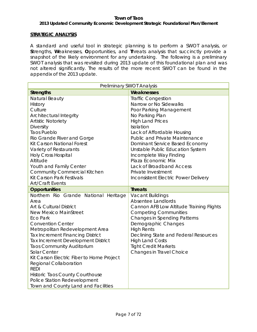#### **Town of Taos** *2013 Updated Community Economic Development Strategic Foundational Plan/Element*

### **STRATEGIC ANALYSIS**

A standard and useful tool in strategic planning is to perform a SWOT analysis, or **S**trengths, **W**eaknesses, **O**pportunities, and **T**hreats analysis that succinctly provide a snapshot of the likely environment for any undertaking. The following is a preliminary SWOT analysis that was revisited during 2013 update of this foundational plan and was not altered significantly. The results of the more recent SWOT can be found in the appendix of the 2013 update.

| Preliminary SWOT Analysis                                           |                                          |  |
|---------------------------------------------------------------------|------------------------------------------|--|
| <b>Strengths</b>                                                    | Weaknesses                               |  |
| Natural Beauty                                                      | <b>Traffic Congestion</b>                |  |
| <b>History</b>                                                      | Narrow or No Sidewalks                   |  |
| Culture                                                             | Poor Parking Management                  |  |
| Architectural Integrity                                             | No Parking Plan                          |  |
| <b>Artistic Notoriety</b>                                           | <b>High Land Prices</b>                  |  |
| Diversity                                                           | Isolation                                |  |
| <b>Taos Pueblo</b>                                                  | Lack of Affordable Housing               |  |
| Rio Grande River and Gorge                                          | <b>Public and Private Maintenance</b>    |  |
| <b>Kit Carson National Forest</b>                                   | Dominant Service Based Economy           |  |
| Variety of Restaurants                                              | Unstable Public Education System         |  |
| <b>Holy Cross Hospital</b>                                          | Incomplete Way Finding                   |  |
| Altitude                                                            | Plaza Economic Mix                       |  |
| Youth and Family Center                                             | Lack of Broadband Access                 |  |
| <b>Community Commercial Kitchen</b>                                 | Private Investment                       |  |
| Kit Carson Park Festivals                                           | Inconsistent Electric Power Delivery     |  |
| <b>Art/Craft Events</b>                                             |                                          |  |
|                                                                     |                                          |  |
| <b>Opportunities</b>                                                | <b>Threats</b>                           |  |
| Northern Rio Grande National Heritage                               | <b>Vacant Buildings</b>                  |  |
| Area                                                                | Absentee Landlords                       |  |
| Art & Cultural District                                             | Cannon AFB Low Altitude Training Flights |  |
| <b>New Mexico MainStreet</b>                                        | <b>Competing Communities</b>             |  |
| <b>Eco Park</b>                                                     | <b>Changes in Spending Patterns</b>      |  |
| <b>Convention Center</b>                                            | Demographic Changes                      |  |
| Metropolitan Redevelopment Area                                     | <b>High Rents</b>                        |  |
| <b>Tax Increment Financing District</b>                             | Declining State and Federal Resources    |  |
| Tax Increment Development District                                  | <b>High Land Costs</b>                   |  |
| <b>Taos Community Auditorium</b>                                    | <b>Tight Credit Markets</b>              |  |
| Solar Center                                                        | Changes in Travel Choice                 |  |
| Kit Carson Electric Fiber to Home Project                           |                                          |  |
| <b>Regional Collaboration</b>                                       |                                          |  |
| <b>REDI</b>                                                         |                                          |  |
| Historic Taos County Courthouse                                     |                                          |  |
| Police Station Redevelopment<br>Town and County Land and Facilities |                                          |  |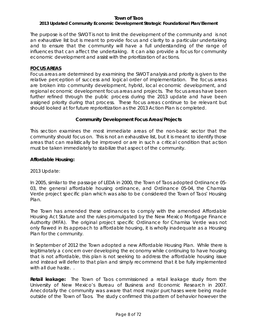# *2013 Updated Community Economic Development Strategic Foundational Plan/Element*

The purpose is of the SWOT is not to limit the development of the community and is not an exhaustive list but is meant to provide focus and clarity to a particular undertaking and to ensure that the community will have a full understanding of the range of influences that can affect the undertaking. It can also provide a focus for community economic development and assist with the prioritization of actions.

### **FOCUS AREAS**

Focus areas are determined by examining the SWOT analysis and priority is given to the relative perception of success and logical order of implementation. The focus areas are broken into community development, hybrid, local economic development, and regional economic development focus areas and projects. The focus areas have been further refined through the public process during the 2013 update and have been assigned priority during that process. These focus areas continue to be relevant but should looked at for future reprioritization as the 2013 Action Plan is completed.

#### **Community Development Focus Areas/Projects**

This section examines the most immediate areas of the non-basic sector that the community should focus on. This is not an exhaustive list, but it is meant to identify those areas that can realistically be improved or are in such a critical condition that action must be taken immediately to stabilize that aspect of the community.

#### **Affordable Housing:**

2013 Update:

In 2005, similar to the passage of LEDA in 2000, the Town of Taos adopted Ordinance 05- 03, the general affordable housing ordinance, and Ordinance 05-04, the Chamisa Verde project specific plan which was also to be considered the Town of Taos' Housing Plan.

The Town has amended these ordinances to comply with the amended Affordable Housing Act Statute and the rules promulgated by the New Mexico Mortgage Finance Authority (MFA). The original project specific Ordinance for Chamisa Verde was not only flawed in its approach to affordable housing, it is wholly inadequate as a Housing Plan for the community.

In September of 2012 the Town adopted a new Affordable Housing Plan. While there is legitimately a concern over developing the economy while continuing to have housing that is not affordable, this plan is not seeking to address the affordable housing issue and instead will defer to that plan and simply recommend that it be fully implemented with all due haste...

**Retail leakage:** The Town of Taos commissioned a retail leakage study from the University of New Mexico's Bureau of Business and Economic Research in 2007. Anecdotally the community was aware that most major purchases were being made outside of the Town of Taos. The study confirmed this pattern of behavior however the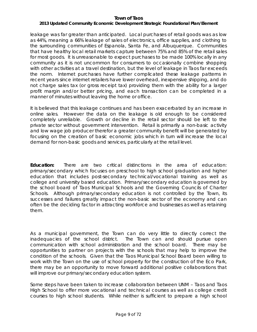# *2013 Updated Community Economic Development Strategic Foundational Plan/Element*

leakage was far greater than anticipated. Local purchases of retail goods was as low as 44%, meaning a 66% leakage of sales of electronics, office supplies, and clothing to the surrounding communities of Espanola, Santa Fe, and Albuquerque. Communities that have healthy local retail markets capture between 75% and 85% of the retail sales for most goods. It is unreasonable to expect purchases to be made 100% locally in any community as it is not uncommon for consumers to occasionally combine shopping with other activities at a travel destination, but the level of leakage in Taos far exceeds the norm. Internet purchases have further complicated these leakage patterns in recent years since internet retailers have lower overhead, inexpensive shipping, and do not charge sales tax (or gross receipt tax) providing them with the ability for a larger profit margin and/or better pricing, and each transaction can be completed in a manner of minutes without leaving the home or office.

It is believed that this leakage continues and has been exacerbated by an increase in online sales. However the data on the leakage is old enough to be considered completely unreliable. Growth or decline in the retail sector should be left to the private sector without government intervention. Retail is primarily a non-basic activity and low wage job producer therefor a greater community benefit will be generated by focusing on the creation of basic economic jobs which in turn will increase the local demand for non-basic goods and services, particularly at the retail level.

**Education:** There are two critical distinctions in the area of education: primary/secondary which focuses on preschool to high school graduation and higher education that includes post-secondary technical/vocational training as well as college and university based education. Primary/secondary education is governed by the school board of Taos Municipal Schools and the Governing Councils of Charter Schools. Although primary/secondary education is not controlled by the Town, its successes and failures greatly impact the non-basic sector of the economy and can often be the deciding factor in attracting workforce and businesses as well as retaining them.

As a municipal government, the Town can do very little to directly correct the inadequacies of the school district. The Town can and should pursue open communication with school administration and the school board. There may be opportunities to partner on projects with the schools that may help to improve the condition of the schools. Given that the Taos Municipal School Board been willing to work with the Town on the use of school property for the construction of the Eco Park, there may be an opportunity to move forward additional positive collaborations that will improve our primary/secondary education system.

Some steps have been taken to increase collaboration between UNM – Taos and Taos High School to offer more vocational and technical courses as well as college credit courses to high school students. While neither is sufficient to prepare a high school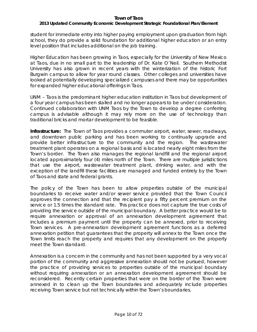# *2013 Updated Community Economic Development Strategic Foundational Plan/Element*

student for immediate entry into higher paying employment upon graduation from high school, they do provide a solid foundation for additional higher education or an entry level position that includes additional on the job training.

Higher Education has been growing in Taos, especially for the University of New Mexico at Taos, due in no small part to the leadership of Dr. Kate O'Neil. Southern Methodist University has also grown in recent years with the winterization of the historic Fort Burgwin campus to allow for year round classes. Other colleges and universities have looked at potentially developing specialized campuses and there may be opportunities for expanded higher educational offerings in Taos.

UNM – Taos is the predominant higher education institution in Taos but development of a four year campus has been stalled and no longer appears to be under consideration. Continued collaboration with UNM Taos by the Town to develop a degree conferring campus is advisable although it may rely more on the use of technology than traditional bricks and mortar development to be feasible.

**Infrastructure:** The Town of Taos provides a commuter airport, water, sewer, roadways, and downtown public parking and has been working to continually upgrade and provide better infrastructure to the community and the region. The wastewater treatment plant operates on a regional basis and is located nearly eight miles from the Town's border. The Town also manages the regional landfill and the regional airport located approximately four (4) miles north of the Town. There are multiple jurisdictions that use the airport, wastewater treatment plant, drinking water, and with the exception of the landfill these facilities are managed and funded entirely by the Town of Taos and state and federal grants.

The policy of the Town has been to allow properties outside of the municipal boundaries to receive water and/or sewer service provided that the Town Council approves the connection and that the recipient pay a fifty percent premium on the service or 1.5 times the standard rate. This practice does not capture the true costs of providing the service outside of the municipal boundary. A better practice would be to require annexation or approval of an annexation development agreement that includes a premium payment until the property can be annexed, prior to receiving Town services. A pre-annexation development agreement functions as a deferred annexation petition that guarantees that the property will annex to the Town once the Town limits reach the property and requires that any development on the property meet the Town standard.

Annexation is a concern in the community and has not been supported by a very vocal portion of the community and aggressive annexation should not be pursued, however the practice of providing services to properties outside of the municipal boundary without requiring annexation or an annexation development agreement should be reconsidered. Recently certain properties that were on the border of the Town were annexed in to clean up the Town boundaries and adequately include properties receiving Town service but not technically within the Town's boundaries.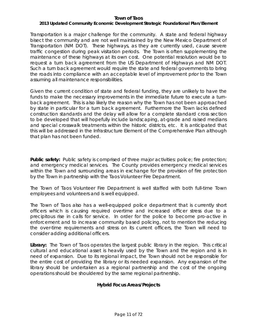# *2013 Updated Community Economic Development Strategic Foundational Plan/Element*

Transportation is a major challenge for the community. A state and federal highway bisect the community and are not well maintained by the New Mexico Department of Transportation (NM DOT). These highways, as they are currently used, cause severe traffic congestion during peak visitation periods. The Town is often supplementing the maintenance of these highways at its own cost. One potential resolution would be to request a turn back agreement from the US Department of Highways and NM DOT. Such a turn back agreement would require the state and federal governments to bring the roads into compliance with an acceptable level of improvement prior to the Town assuming all maintenance responsibilities.

Given the current condition of state and federal funding, they are unlikely to have the funds to make the necessary improvements in the immediate future to execute a turnback agreement. This is also likely the reason why the Town has not been approached by state in particular for a turn back agreement. Furthermore the Town lacks defined construction standards and the delay will allow for a complete standard cross section to be developed that will hopefully include landscaping, at-grade and raised medians and special crosswalk treatments within the historic districts, etc. It is anticipated that this will be addressed in the Infrastructure Element of the Comprehensive Plan although that plan has not been funded.

**Public safety:** Public safety is comprised of three major activities: police; fire protection; and emergency medical services. The County provides emergency medical services within the Town and surrounding areas in exchange for the provision of fire protection by the Town in partnership with the Taos Volunteer Fire Department.

The Town of Taos Volunteer Fire Department is well staffed with both full-time Town employees and volunteers and is well equipped.

The Town of Taos also has a well-equipped police department that is currently short officers which is causing required overtime and increased officer stress due to a precipitous rise in calls for service. In order for the police to become pro-active in enforcement and to increase community based policing, not to mention the reducing the over-time requirements and stress on its current officers, the Town will need to consider adding additional officers.

**Library:** The Town of Taos operates the largest public library in the region. This critical cultural and educational asset is heavily used by the Town and the region and is in need of expansion. Due to its regional impact, the Town should not be responsible for the entire cost of providing the library or its needed expansion. Any expansion of the library should be undertaken as a regional partnership and the cost of the ongoing operations should be shouldered by the same regional partnership.

# **Hybrid Focus Areas/Projects**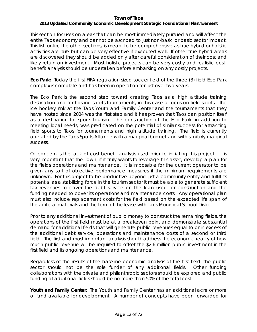# *2013 Updated Community Economic Development Strategic Foundational Plan/Element*

This section focuses on areas that can be most immediately pursued and will affect the entire Taos economy and cannot be ascribed to just non-basic or basic sector impact. This list, unlike the other sections, is meant to be comprehensive as true hybrid or holistic activities are rare but can be very effective if executed well. If other true hybrid areas are discovered they should be added only after careful consideration of their cost and likely return on investment. Most holistic projects can be very costly and realistic costbenefit analysis should be undertaken before embarking on any costly projects.

**Eco Park:** Today the first FIFA regulation sized soccer field of the three (3) field Eco Park complex is complete and has been in operation for just over two years.

The Eco Park is the second step toward creating Taos as a high altitude training destination and for hosting sports tournaments, in this case a focus on field sports. The ice hockey rink at the Taos Youth and Family Center and the tournaments that they have hosted since 2004 was the first step and it has proven that Taos can position itself as a destination for sports tourism. The construction of the Eco Park, in addition to meeting local needs, was predicated on the potential of similar success for attracting field sports to Taos for tournaments and high altitude training. The field is currently operated by the Taos Sports Alliance with a marginal budget and with similarly marginal success.

Of concern is the lack of cost-benefit analysis used prior to initiating this project. It is very important that the Town, if it truly wants to leverage this asset, develop a plan for the fields operations and maintenance. It is impossible for the current operator to be given any sort of objective performance measures if the minimum requirements are unknown. For this project to be productive beyond just a community entity and fulfill its potential as a stabilizing force in the tourism sector it must be able to generate sufficient tax revenues to cover the debt service on the loan used for construction and the funding needed to cover its operations and maintenance costs. Any operational plan must also include replacement costs for the field based on the expected life span of the artificial materials and the term of the lease with Taos Municipal School District.

Prior to any additional investment of public money to construct the remaining fields, the operations of the first field must be at a breakeven point and demonstrate substantial demand for additional fields that will generate public revenues equal to or in excess of the additional debt service, operations and maintenance costs of a second or third field. The first and most important analysis should address the economic reality of how much public revenue will be required to offset the \$2.6 million public investment in the first field and its ongoing operations and maintenance.

Regardless of the results of the baseline economic analysis of the first field, the public sector should not be the sole funder of any additional fields. Other funding collaborations with the private and philanthropic sectors should be explored and public funding of additional fields should be no more than 50% of the total cost.

**Youth and Family Center:** The Youth and Family Center has an additional acre or more of land available for development. A number of concepts have been forwarded for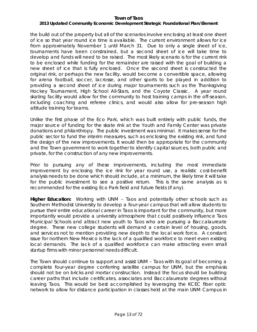# *2013 Updated Community Economic Development Strategic Foundational Plan/Element*

the build out of the property but all of the scenarios involve enclosing at least one sheet of ice so that year round ice time is available. The current environment allows for ice from approximately November 1 until March 31. Due to only a single sheet of ice, tournaments have been constrained, but a second sheet of ice will take time to develop and funds will need to be raised. The most likely scenario is for the current rink to be enclosed while funding for the remainder are raised with the goal of building a new sheet of ice that is fully enclosed. Once the second sheet is constructed the original rink, or perhaps the new facility, would become a convertible space, allowing for arena football, soccer, lacrosse, and other sports to be played in addition to providing a second sheet of ice during major tournaments such as the Thanksgiving Hockey Tournament, High School All-Stars, and the Coyote Classic. A year round skating facility would allow for the community to host training camps in the off-season, including coaching and referee clinics, and would also allow for pre-season high altitude training for teams.

Unlike the first phase of the Eco Park, which was built entirely with public funds, the major source of funding for the skate rink at the Youth and Family Center was private donations and philanthropy. The public investment was minimal. It makes sense for the public sector to fund the interim measures, such as enclosing the existing rink, and fund the design of the new improvements. It would then be appropriate for the community and the Town government to work together to identify capital sources, both public and private, for the construction of any new improvements.

Prior to pursuing any of these improvements, including the most immediate improvement by enclosing the ice rink for year round use, a realistic cost-benefit analysis needs to be done which should include, at a minimum, the likely time it will take for the public investment to see a positive return. This is the same analysis as is recommended for the existing Eco Park field and future fields (if any).

**Higher Education:** Working with UNM – Taos and potentially other schools such as Southern Methodist University to develop a four-year campus that will allow students to pursue their entire educational career in Taos is important for the community, but more importantly would provide a university atmosphere that could positively influence Taos Municipal Schools and attract new youth to Taos who are pursuing a Baccalaureate degree. These new college students will demand a certain level of housing, goods, and services not to mention providing new depth to the local work force. A constant issue for northern New Mexico is the lack of a qualified workforce to meet even existing local demands. The lack of a qualified workforce can make attracting even small startup firms with minor personnel needs difficult.

The Town should continue to support and assist UNM – Taos with its goal of becoming a complete four-year degree conferring satellite campus for UNM, but the emphasis should not be on bricks and mortar construction. Instead the focus should be building career paths that include certificates, associates and Baccalaureate degrees without leaving Taos. This would be best accomplished by leveraging the KCEC fiber optic network to allow for distance participation in classes held at the main UNM Campus in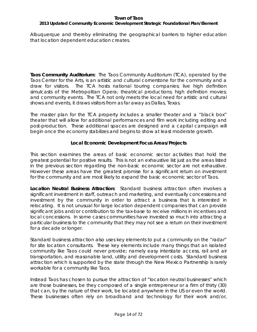# *2013 Updated Community Economic Development Strategic Foundational Plan/Element*

Albuquerque and thereby eliminating the geographical barriers to higher education that location dependent education creates.

**Taos Community Auditorium:** The Taos Community Auditorium (TCA), operated by the Taos Center for the Arts, is an artistic and cultural cornerstone for the community and a draw for visitors. The TCA hosts national touring companies; live high definition simulcasts of the Metropolitan Opera; theatrical productions; high definition movies; and community events. The TCA not only meets the local need for artistic and cultural shows and events, it draws visitors from as far away as Dallas, Texas.

The master plan for the TCA property includes a smaller theater and a "black box" theater that will allow for additional performances and film work including editing and post-production. These additional spaces are designed and a capital campaign will begin once the economy stabilizes and begins to show at least moderate growth.

# **Local Economic Development Focus Areas/Projects**

This section examines the areas of basic economic sector activities that hold the greatest potential for positive results. This is not an exhaustive list just as the areas listed in the previous section regarding the non-basic economic sector are not exhaustive. However these areas have the greatest promise for a significant return on investment for the community and are most likely to expand the basic economic sector of Taos.

**Location Neutral Business Attraction:** Standard business attraction often involves a significant investment in staff, outreach and marketing, and eventually concessions and investment by the community in order to attract a business that is interested in relocating. It is not unusual for large location dependent companies that can provide significant jobs and/or contribution to the tax-base to receive millions in incentives and local concessions. In some cases communities have invested so much into attracting a particular business to the community that they may not see a return on their investment for a decade or longer.

Standard business attraction also uses key elements to put a community on the "radar" for site location consultants. These key elements include many things that an isolated community like Taos could never provide; namely easy interstate access, rail and air transportation, and reasonable land, utility and development costs. Standard business attraction which is supported by the state through the New Mexico Partnership is rarely workable for a community like Taos.

Instead Taos has chosen to pursue the attraction of "location neutral businesses" which are those businesses, be they composed of a single entrepreneur or a firm of thirty (30) that can, by the nature of their work, be located anywhere in the US or even the world. These businesses often rely on broadband and technology for their work and/or,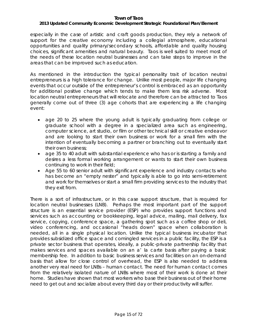### *2013 Updated Community Economic Development Strategic Foundational Plan/Element*

especially in the case of artistic and craft goods production, they rely a network of support for the creative economy including a collegial atmosphere, educational opportunities and quality primary/secondary schools, affordable and quality housing choices, significant amenities and natural beauty. Taos is well suited to meet most of the needs of these location neutral businesses and can take steps to improve in the areas that can be improved such as education.

As mentioned in the introduction the typical personality trait of location neutral entrepreneurs is a high tolerance for change. Unlike most people, major life changing events that occur outside of the entrepreneur's control is embraced as an opportunity for additional positive change which tends to make them less risk adverse. Most location neutral entrepreneurs that will relocate and therefore can be attracted to Taos generally come out of three (3) age cohorts that are experiencing a life changing event:

- age 20 to 25 where the young adult is typically graduating from college or graduate school with a degree in a specialized area such as engineering, computer science, art studio, or film or other technical skill or creative endeavor and are looking to start their own business or work for a small firm with the intention of eventually becoming a partner or branching out to eventually start their own business;
- age 35 to 40 adult with substantial experience who has or is starting a family and desires a less formal working arrangement or wants to start their own business continuing to work in their field;
- Age 55 to 60 senior adult with significant experience and industry contacts who has become an "empty nester" and typically is able to go into semi-retirement and work for themselves or start a small firm providing services to the industry that they exit from.

There is a sort of infrastructure, or in this case support structure, that is required for location neutral businesses (LNB). Perhaps the most important part of the support structure is an essential service provider (ESP) who provides support functions and services such as accounting or bookkeeping, legal advice, mailing, mail delivery, fax service, copying, conference space, a gathering spot such as a coffee shop or deli, video conferencing, and occasional "heads down" space when collaboration is needed, all in a single physical location. Unlike the typical business incubator that provides subsidized office space and comingled services in a public facility, the ESP is a private sector business that operates, ideally, a public-private partnership facility that makes services and spaces available on an a' la carte basis after paying a basic membership fee. In addition to basic business services and facilities on an on-demand basis that allow for close control of overhead, the ESP is also needed to address another very real need for LNBs – human contact. The need for human contact comes from the relatively isolated nature of LNBs where most of their work is done at their home. Studies have shown that most workers who base their business out of their home need to get out and socialize about every third day or their productivity will suffer.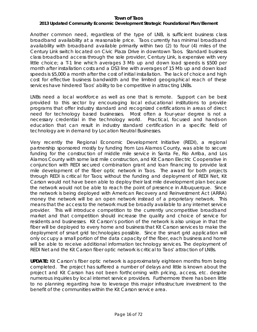# *2013 Updated Community Economic Development Strategic Foundational Plan/Element*

Another common need, regardless of the type of LNB, is sufficient business class broadband availability at a reasonable price. Taos currently has minimal broadband availability with broadband available primarily within two (2) to four (4) miles of the Century Link switch located on Civic Plaza Drive in downtown Taos. Standard business class broadband access through the sole provider, Century Link, is expensive with very little choice; a T-1 line which averages 3 Mb up and down load speeds is \$500 per month after installation costs and a DS3 line with averages of 15 Mb up and down load speeds is \$5,000 a month after the cost of initial installation. The lack of choice and high cost for effective business bandwidth and the limited geographical reach of these services have hindered Taos' ability to be competitive in attracting LNBs.

LNBs need a local workforce as well as one that is remote. Support can be best provided to this sector by encouraging local educational institutions to provide programs that offer industry standard and recognized certifications in areas of direct need for technology based businesses. Most often a four-year degree is not a necessary credential in the technology world. Practical, focused and hands-on education that can result in industry standard certification in a specific field of technology are in demand by Location Neutral Businesses.

Very recently the Regional Economic Development Initiative (REDI), a regional partnership sponsored mostly by funding from Los Alamos County, was able to secure funding for the construction of middle mile service in Santa Fe, Rio Arriba, and Los Alamos County with some last mile construction, and Kit Carson Electric Cooperative in conjunction with REDI secured combination grant and loan financing to provide last mile development of the fiber optic network in Taos. The award for both projects through REDI is critical for Taos; without the funding and deployment of REDI Net, Kit Carson would not have been able to deploy their last mile development plan because the network would not be able to reach the point of presence in Albuquerque. Since the network is being deployed with American Recovery and Reinvestment Act (ARRA) money the network will be an open network instead of a proprietary network. This means that the access to the network must be broadly available to any internet service provider. This will introduce competition to the currently uncompetitive broadband market and that competition should increase the quality and choice of service for residents and businesses. Kit Carson's portion of the network is also unique in that the fiber will be deployed to every home and business that Kit Carson services to make the deployment of smart grid technologies possible. Since the smart grid application will only occupy a small portion of the data capacity of the fiber, each business and home will be able to receive additional information technology services. The deployment of REDI Net and the Kit Carson fiber optic network is critical to Taos' attraction of LNBs.

**UPDATE:** Kit Carson's fiber optic network is approximately eighteen months from being completed. The project has suffered a number of delays and little is known about the project and Kit Carson has not been forthcoming with pricing, access, etc. despite numerous inquiries by local internet service providers. Furthermore there has been little to no planning regarding how to leverage this major infrastructure investment to the benefit of the communities within the Kit Carson service area.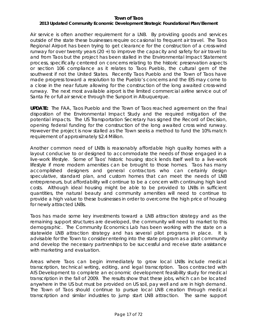# *2013 Updated Community Economic Development Strategic Foundational Plan/Element*

Air service is often another requirement for a LNB. By providing goods and services outside of the state these businesses require occasional to frequent air travel. The Taos Regional Airport has been trying to get clearance for the construction of a cross-wind runway for over twenty years (20 +) to improve the capacity and safety for air travel to and from Taos but the project has been stalled in the Environmental Impact Statement process, specifically centered on concerns relating to the historic preservation aspects or section 106 compliance as it relates to Taos Pueblo, the cultural gem of the southwest if not the United States. Recently Taos Pueblo and the Town of Taos have made progress toward a resolution to the Pueblo's concerns and the EIS may come to a close in the near future allowing for the construction of the long awaited cross-wind runway. The next most available airport is the limited commercial airline service out of Santa Fe or full air service through the Sunport in Albuquerque.

**UPDATE:** The FAA, Taos Pueblo and the Town of Taos reached agreement on the final disposition of the Environmental Impact Study and the required mitigation of the potential impacts. The US Transportation Secretary has signed the Record of Decision, opening federal funding for the construction of the long awaited cross wind runway. However the project is now stalled as the Town seeks a method to fund the 10% match requirement of approximately \$2.4 Million.

Another common need of LNBs is reasonably affordable high quality homes with a layout conducive to or designed to accommodate the needs of those engaged in a live-work lifestyle. Some of Taos' historic housing stock lends itself well to a live-work lifestyle if more modern amenities can be brought to those homes. Taos has many accomplished designers and general contractors who can certainly design speculative, standard plan, and custom homes that can meet the needs of LNB entrepreneurs, but affordability will continue to be a concern with continuing high land costs. Although ideal housing might be able to be provided to LNBs in sufficient quantities, the natural beauty and community amenities will need to continue to provide a high value to these businesses in order to overcome the high price of housing for newly attracted LNBs.

Taos has made some key investments toward a LNB attraction strategy and as the remaining support structures are developed, the community will need to market to this demographic. The Community Economics Lab has been working with the state on a statewide LNB attraction strategy and has several pilot programs in place. It is advisable for the Town to consider entering into the state program as a pilot community and develop the necessary partnerships to be successful and receive state assistance with marketing and evaluation.

Areas where Taos can begin immediately to grow local LNBs include medical transcription, technical writing, editing, and legal transcription. Taos contracted with AIS Development to complete an economic development feasibility study for medical transcription in the fall of 2009. The results show that these jobs, which can be located anywhere in the US but must be provided on US soil, pay well and are in high demand. The Town of Taos should continue to pursue local LNB creation through medical transcription and similar industries to jump start LNB attraction. The same support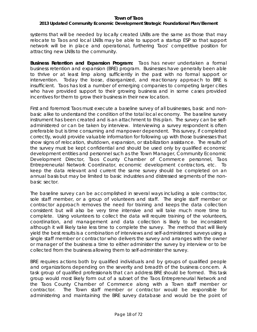### *2013 Updated Community Economic Development Strategic Foundational Plan/Element*

systems that will be needed by locally created LNBs are the same as those that may relocate to Taos and local LNBs may be able to support a startup ESP so that support network will be in place and operational, furthering Taos' competitive position for attracting new LNBs to the community.

**Business Retention and Expansion Program:** Taos has never undertaken a formal business retention and expansion (BRE) program. Businesses have generally been able to thrive or at least limp along sufficiently in the past with no formal support or intervention. Today the loose, disorganized, and reactionary approach to BRE is insufficient. Taos has lost a number of emerging companies to competing larger cities who have provided support to their growing business and in some cases provided incentives for them to grow their business in their new location.

First and foremost Taos must execute a baseline survey of all businesses, basic and nonbasic alike to understand the condition of the total local economy. The baseline survey instrument has been created and is an attachment to this plan. The survey can be selfadministered or can be taken by interview. Interviewing a survey respondent is often preferable but is time consuming and manpower dependent. This survey, if completed correctly, would provide valuable information for following up with those businesses that show signs of relocation, shutdown, expansion, or stabilization assistance. The results of the survey must be kept confidential and should be used only by qualified economic development entities and personnel such as the Town Manager, Community Economic Development Director, Taos County Chamber of Commerce personnel, Taos Entrepreneurial Network Coordinator, economic development contractors, etc. To keep the data relevant and current the same survey should be completed on an annual basis but may be limited to basic industries and distressed segments of the nonbasic sector.

The baseline survey can be accomplished in several ways including a sole contractor, sole staff member, or a group of volunteers and staff. The single staff member or contractor approach removes the need for training and keeps the data collection consistent but will also be very time intensive and will take much more time to complete. Using volunteers to collect the data will require training of the volunteers, coordination, and management and data collection is likely to be inconsistent although it will likely take less time to complete the survey. The method that will likely yield the best results is a combination of interviews and self-administered surveys using a single staff member or contractor who delivers the survey and arranges with the owner or manager of the business a time to either administer the survey by interview or to be collected from the business allowing them to self-administer the survey.

BRE requires actions both by qualified individuals and by groups of qualified people and organizations depending on the severity and breadth of the business concern. A task group of qualified professionals that can address BRE should be formed. This task group would most likely form out of a subset of the Taos Entrepreneurial Network and the Taos County Chamber of Commerce along with a Town staff member or contractor. The Town staff member or contractor would be responsible for administering and maintaining the BRE survey database and would be the point of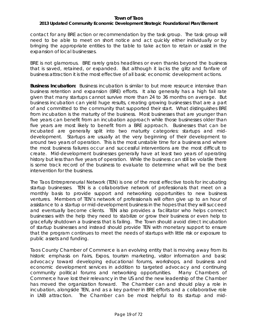# *2013 Updated Community Economic Development Strategic Foundational Plan/Element*

contact for any BRE action or recommendation by the task group. The task group will need to be able to meet on short notice and act quickly either individually or by bringing the appropriate entities to the table to take action to retain or assist in the expansion of local businesses.

BRE is not glamorous. BRE rarely grabs headlines or even thanks beyond the business that is saved, retained, or expanded. But although it lacks the glitz and fanfare of business attraction it is the most effective of all basic economic development actions.

**Business Incubation:** Business incubation is similar to but more resource intensive than business retention and expansion (BRE) efforts. It also generally has a high fail rate given that many startups cannot survive more than 24 to 36 months on average. But business incubation can yield huge results, creating growing businesses that are a part of and committed to the community that supported their start. What distinguishes BRE from incubation is the maturity of the business. Most businesses that are younger than five years can benefit from an incubation approach while those businesses older than five years are most likely to benefit from a BRE approach. Businesses that can be incubated are generally split into two maturity categories: startups and middevelopment. Startups are usually at the very beginning of their development to around two years of operation. This is the most unstable time for a business and where the most business failures occur and successful interventions are the most difficult to create. Mid-development businesses generally have at least two years of operating history but less than five years of operation. While the business can still be volatile there is some track record of the business to evaluate to determine what will be the best intervention for the business.

The Taos Entrepreneurial Network (TEN) is one of the most effective tools for incubating startup businesses. TEN is a collaborative network of professionals that meet on a monthly basis to provide support and networking opportunities to new business ventures. Members of TEN's network of professionals will often give up to an hour of assistance to a startup or mid-development business in the hopes that they will succeed and eventually become clients. TEN also provides a facilitator who helps connect businesses with the help they need to stabilize or grow their business or even help to gracefully shutdown a business that is failing. The Town should avoid direct incubation of startup businesses and instead should provide TEN with monetary support to ensure that the program continues to meet the needs of startups with little risk or exposure to public assets and funding.

Taos County Chamber of Commerce is an evolving entity that is moving away from its historic emphasis on Fairs, Expos, tourism marketing, visitor information and basic advocacy toward developing educational forums, workshops, and business and economic development services in addition to targeted advocacy and continuing community political forums and networking opportunities. Many Chambers of Commerce have lost their relevancy in the US and the new leadership of the Chamber has moved the organization forward. The Chamber can and should play a role in incubation, alongside TEN, and as a key partner in BRE efforts and a collaborative role in LNB attraction. The Chamber can be most helpful to its startup and mid-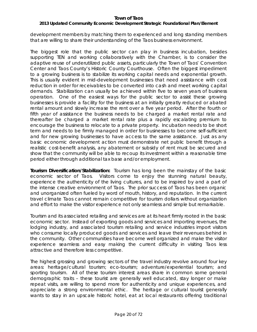# *2013 Updated Community Economic Development Strategic Foundational Plan/Element*

development members by matching them to experienced and long standing members that are willing to share their understanding of the Taos business environment.

The biggest role that the public sector can play in business incubation, besides supporting TEN and working collaboratively with the Chamber, is to consider the adaptive reuse of underutilized public assets, particularly the Town of Taos' Convention Center and Taos County's Historic County Courthouse. Often the biggest impediment to a growing business is to stabilize its working capital needs and exponential growth. This is usually evident in mid-development businesses that need assistance with cost reduction in order for receivables to be converted into cash and meet working capital demands. Stabilization can usually be achieved within five to seven years of business operation. One of the easiest ways for the public sector to assist these growing businesses is provide a facility for the business at an initially greatly reduced or abated rental amount and slowly increase the rent over a five year period. After the fourth or fifth year of assistance the business needs to be charged a market rental rate and thereafter be charged a market rental rate plus a rapidly escalating premium to encourage the business to relocate to a private property. Incubation needs to be short term and needs to be firmly managed in order for businesses to become self-sufficient and for new growing businesses to have access to the same assistance. Just as any basic economic development action must demonstrate net public benefit through a realistic cost-benefit analysis, any abatement or subsidy of rent must be secured and show that the community will be able to recoup its investment within a reasonable time period either through additional tax base and/or employment.

**Tourism Diversification/Stabilization:** Tourism has long been the mainstay of the basic economic sector of Taos. Visitors come to enjoy the stunning natural beauty, experience the authenticity of the living cultures, and to be inspired by and a part of the intense creative environment of Taos. The prior success of Taos has been organic and unorganized often fueled by word of mouth, history, and reputation. In the current travel climate Taos cannot remain competitive for tourism dollars without organization and effort to make the visitor experience not only seamless and simple but remarkable.

Tourism and its associated retailing and services are at its heart firmly rooted in the basic economic sector. Instead of exporting goods and services and importing revenues, the lodging industry, and associated tourism retailing and service industries import visitors who consume locally produced goods and services and leave their revenues behind in the community. Other communities have become well organized and make the visitor experience seamless and easy making the current difficulty in visiting Taos less attractive and therefore less competitive.

The highest grossing and growing sectors of the travel industry revolve around four key areas: heritage/cultural tourism; eco-tourism; adventure/experiential tourism; and sporting tourism. All of these tourism interest areas share in common some general demographic traits – these tourist are generally well educated, stay longer or make repeat visits, are willing to spend more for authenticity and unique experiences, and appreciate a strong environmental ethic. The heritage or cultural tourist generally wants to stay in an upscale historic hotel, eat at local restaurants offering traditional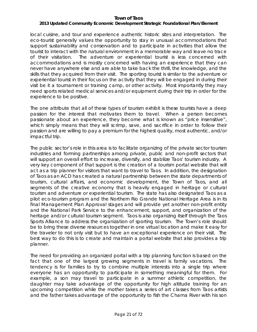# *2013 Updated Community Economic Development Strategic Foundational Plan/Element*

local cuisine, and tour and experience authentic historic sites and interpretation. The eco-tourist generally values the opportunity to stay in unusual accommodations that support sustainability and conservation and to participate in activities that allow the tourist to interact with the natural environment in a memorable way and leave no trace of their visitation. The adventure or experiential tourist is less concerned with accommodations and is mostly concerned with having an experience that they can never have anywhere else and are able to take back the thrill, the knowledge, and the skills that they acquired from their visit. The sporting tourist is similar to the adventure or experiential tourist in their focus on the activity that they will be engaged in during their visit be it a tournament or training camp, or other activity. Most importantly they may need sports related medical services and/or equipment during their trip in order for the experience to be positive.

The one attribute that all of these types of tourism exhibit is these tourists have a deep passion for the interest that motivates them to travel. When a person becomes passionate about an experience, they become what is known as "price insensitive", which simply means that they will scrimp, save, and sacrifice in order to follow their passion and are willing to pay a premium for the highest quality, most authentic, and/or impactful trip.

The public sector's role in this area is to facilitate organizing of the private sector tourism industries and forming partnerships among private, public and non-profit sectors that will support an overall effort to increase, diversify, and stabilize Taos' tourism industry. A very key component of that support is the creation of a tourism portal website that will act as a trip planner for visitors that want to travel to Taos. In addition, the designation of Taos as an ACD has created a natural partnership between the state departments of tourism, cultural affairs, and economic development, the Town of Taos, and all segments of the creative economy that is heavily engaged in heritage or cultural tourism and adventure or experiential tourism. The state has also designated Taos as a pilot eco-tourism program and the Northern Rio Grande National Heritage Area is in its final Management Plan Approval stages and will provide yet another non-profit entity and the National Park Service to the enhancement, support, and organization of the heritage and/or cultural tourism segment. Taos is also organizing itself through the Taos Sports Alliance to address the organization of sporting tourism. The Town's role should be to bring these diverse resources together in one virtual location and make it easy for the traveler to not only visit but to have an exceptional experience on their visit. The best way to do this is to create and maintain a portal website that also provides a trip planner.

The need for providing an organized portal with a trip planning function is based on the fact that one of the largest growing segments in travel is family vacations. The tendency is for families to try to combine multiple interests into a single trip where everyone has an opportunity to participate in something meaningful for them. For example, a son may travel to participate in a summer athletic competition, the daughter may take advantage of the opportunity for high altitude training for an upcoming competition while the mother takes a series of art classes from Taos artists and the father takes advantage of the opportunity to fish the Chama River with his son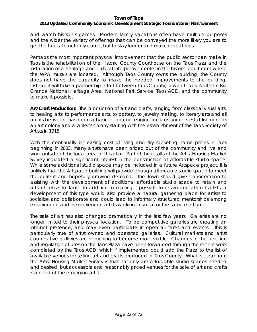# *2013 Updated Community Economic Development Strategic Foundational Plan/Element*

and watch his son's games. Modern family vacations often have multiple purposes and the wider the variety of offerings that can be conveyed the more likely you are to get the tourist to not only come, but to stay longer and make repeat trips.

Perhaps the most important physical improvement that the public sector can make in Taos is the rehabilitation of the Historic County Courthouse on the Taos Plaza and the installation of a heritage and cultural interpretive center in the historic courtroom where the WPA murals are located. Although Taos County owns the building, the County does not have the capacity to make the needed improvements to the building. Instead it will take a partnership effort between Taos County, Town of Taos, Northern Rio Grande National Heritage Area, National Park Service, Taos ACD, and the community to make it possible.

**Art/Craft Production:** The production of art and crafts, ranging from classical visual arts, to healing arts, to performance arts, to pottery, to jewelry making, to literary arts and all points between, has been a basic economic engine for Taos since its establishment as an art colony and a writer's colony starting with the establishment of the Taos Society of Artists in 1915.

With the continually increasing cost of living and sky rocketing home prices in Taos beginning in 2003, many artists have been priced out of the community and live and work outside of the local area of this plan. Part of the results of the Artist Housing Market Survey indicated a significant interest in the construction of affordable studio space. While some additional studio space may be included in a future Artspace project, it is unlikely that the Artspace building will provide enough affordable studio space to meet the current and hopefully growing demand. The Town should give consideration to assisting with the development of additional affordable studio space to retain and attract artists to Taos. In addition to making it possible to retain and attract artists, a development of this type would also provide a natural gathering place for artists to socialize and collaborate and could lead to informally structured mentorships among experienced and inexperienced artists working in similar or the same medium.

The sale of art has also changed dramatically in the last few years. Galleries are no longer limited to their physical location. To be competitive galleries are creating an internet presence, and may even participate in open air fares and events. This is particularly true of artist owned and operated galleries. Cultural markets and artist cooperative galleries are beginning to become more viable. Changes to the function and regulation of uses on the Taos Plaza have been forwarded through the recent work completed by the Taos ACD, which if implemented could add the Plaza to the list of available venues for selling art and crafts produced in Taos County. What is clear from the Artist Housing Market Survey is that not only are affordable studio spaces needed and desired, but accessible and reasonably priced venues for the sale of art and crafts is a need of the emerging artist.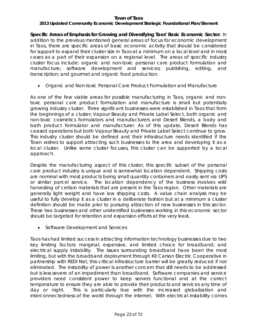# *2013 Updated Community Economic Development Strategic Foundational Plan/Element*

**Specific Areas of Emphasis for Growing and Diversifying Taos' Basic Economic Sector:** In addition to the previous mentioned general areas of focus for economic development in Taos, there are specific areas of basic economic activity that should be considered for support to expand their cluster size in Taos at a minimum on a local level and in most cases as a part of their expansion on a regional level. The areas of specific industry cluster focus include: organic and non-toxic personal care product formulation and manufacture; software development and services; publishing, editing, and transcription; and gourmet and organic food production.

• *Organic and Non-toxic Personal Care Product Formulation and Manufacture*

As one of the few viable areas for possible manufacturing in Taos, organic and nontoxic personal care product formulation and manufacture is small but potentially growing industry cluster. Three significant businesses were established in Taos that form the beginnings of a cluster; Vapour Beauty and Private Label Select, both organic and non-toxic cosmetics formulators and manufacturers and Desert Blends, a body and bath product formulator and manufacturer. As of this update, Desert Blends has ceased operations but both Vapour Beauty and Private Label Select continue to grow. This industry cluster should be defined and their infrastructure needs identified if the Town wishes to support attracting such businesses to the area and developing it as a local cluster. Unlike some cluster focuses, this cluster can be supported by a local approach.

Despite the manufacturing aspect of this cluster, this specific subset of the personal care product industry is unique and is somewhat location dependent. Shipping costs are nominal with most products being small quantity containers and easily sent via UPS or similar parcel service. The location dependency of the business involves wild harvesting of certain materials that are present in the Taos region. Other materials are generally light weight and have low shipping costs. A value chain analysis may be useful to fully develop it as a cluster in a deliberate fashion but at a minimum a cluster definition should be made prior to pursuing attraction of new businesses in this sector. These two businesses and other unidentified businesses working in this economic sector should be targeted for retention and expansion efforts at the very least.

• *Software Development and Services*

Taos has had limited success in attracting information technology businesses due to two key limiting factors: marginal, expensive, and limited choice for broadband; and electrical supply instability. The issues surrounding broadband have been the most limiting, but with the broadband deployment through Kit Carson Electric Cooperative in partnership with REDI Net, this critical infrastructure barrier will be greatly reduced if not eliminated. The instability of power is another concern that still needs to be addressed but is less severe of an impediment than broadband. Software companies and service providers need consistent power to keep servers functional and at the correct temperature to ensure they are able to provide their products and services any time of day or night. This is particularly true with the increased globalization and interconnectedness of the world through the internet. With electrical instability comes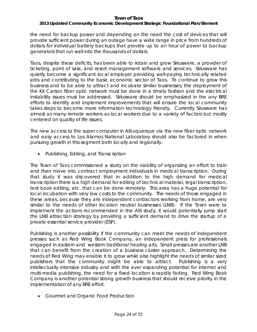# *2013 Updated Community Economic Development Strategic Foundational Plan/Element*

the need for backup power and depending on the need the cost of devices that will provide sufficient power during an outage have a wide range in price from hundreds of dollars for individual battery backups that provide up to an hour of power to backup generators that run well into the thousands of dollars.

Taos, despite these deficits, has been able to retain and grow Siriusware, a provider of ticketing, point of sale, and resort management software and services. Siriusware has quietly become a significant local employer providing well-paying technically related jobs and contributing to the basic economic sector of Taos. To continue to grow this business and to be able to attract and incubate similar businesses, the deployment of the Kit Carson fiber optic network must be done in a timely fashion and the electrical instability issues must be addressed. Siriusware should be emphasized in the any BRE efforts to identify and implement improvements that will ensure the local community takes steps to become more information technology friendly. Currently Sirusware has almost as many remote workers as local workers due to a variety of factors but mostly centered on quality of life issues.

The new access to the super computer in Albuquerque via the new fiber optic network and easy access to Los Alamos National Laboratory should also be factored in when pursuing growth in this segment both locally and regionally.

• *Publishing, Editing, and Transcription*

The Town of Taos commissioned a study on the viability of organizing an effort to train and then move into contract employment individuals in medical transcription. During that study it was discovered that in addition to the high demand for medical transcription there is a high demand for editing of technical material, legal transcription, text book editing, etc. that can be done remotely. This area has a huge potential for local incubation with very low costs to the community. The needs of those engaged in these areas, because they are independent contractors working from home, are very similar to the needs of other location neutral businesses (LNB). If the Town were to implement the actions recommended in the AIS study, it would potentially jump start the LNB attraction strategy by providing a sufficient demand to drive the startup of a private essential service provider (ESP).

Publishing is another possibility if the community can meet the needs of independent presses such as Red Wing Book Company, an independent press for professionals engaged in eastern and western traditional healing arts. Small presses are another LNB that can benefit from the creation of a business cluster approach. Determining the needs of Red Wing may enable it to grow while also highlight the needs of similar sized publishers that the community might be able to attract. Publishing is a very intellectually intensive industry and with the ever expanding potential for internet and multi-media publishing, the need for a fixed location is rapidly fading. Red Wing Book Company is another potential strong growth business that should receive priority in the implementation of any BRE effort.

• *Gourmet and Organic Food Production*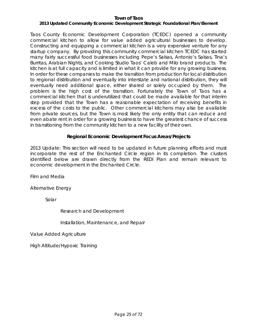# *2013 Updated Community Economic Development Strategic Foundational Plan/Element*

Taos County Economic Development Corporation (TCEDC) opened a community commercial kitchen to allow for value added agricultural businesses to develop. Constructing and equipping a commercial kitchen is a very expensive venture for any startup company. By providing this community commercial kitchen TCEDC has started many fairly successful food businesses including Pepe's Salsas, Antonio's Salsas, Tina's Burritas, Arabian Nights, and Cooking Studio Taos' Caleb and Milo brand products. The kitchen is at full capacity and is limited in what it can provide for any growing business. In order for these companies to make the transition from production for local distribution to regional distribution and eventually into interstate and national distribution, they will eventually need additional space, either shared or solely occupied by them. The problem is the high cost of the transition. Fortunately the Town of Taos has a commercial kitchen that is underutilized that could be made available for that interim step provided that the Town has a reasonable expectation of receiving benefits in excess of the costs to the public. Other commercial kitchens may also be available from private sources, but the Town is most likely the only entity that can reduce and even abate rent in order for a growing business to have the greatest chance of success in transitioning from the community kitchen to a new facility of their own.

# **Regional Economic Development Focus Areas/Projects**

2013 Update: This section will need to be updated in future planning efforts and must incorporate the rest of the Enchanted Circle region in its completion. The clusters identified below are drawn directly from the REDI Plan and remain relevant to economic development in the Enchanted Circle.

Film and Media

Alternative Energy

Solar

Research and Development

Installation, Maintenance, and Repair

Value Added Agriculture

High Altitude/Hypoxic Training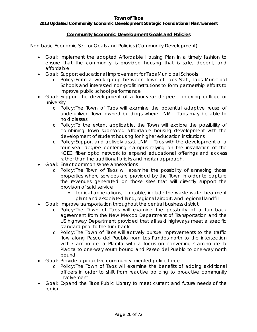# *2013 Updated Community Economic Development Strategic Foundational Plan/Element*

# **Community Economic Development Goals and Policies**

Non-basic Economic Sector Goals and Policies (Community Development):

- Goal: Implement the adopted Affordable Housing Plan in a timely fashion to ensure that the community is provided housing that is safe, decent, and affordable
- Goal: Support educational improvement for Taos Municipal Schools
	- o Policy: Form a work group between Town of Taos Staff, Taos Municipal Schools and interested non-profit institutions to form partnership efforts to improve public school performance
- Goal: Support the development of a four-year degree conferring college or university
	- o Policy: The Town of Taos will examine the potential adaptive reuse of underutilized Town owned buildings where UNM – Taos may be able to hold classes
	- o Policy: To the extent applicable, the Town will explore the possibility of combining Town sponsored affordable housing development with the development of student housing for higher education institutions
	- o Policy: Support and actively assist UNM Taos with the development of a four year degree conferring campus relying on the installation of the KCEC fiber optic network to expand educational offerings and access rather than the traditional bricks and mortar approach.
- Goal: Enact common sense annexations
	- o Policy: The Town of Taos will examine the possibility of annexing those properties where services are provided by the Town in order to capture the revenues generated on those sites that will directly support the provision of said service
		- Logical annexations, if possible, include the waste water treatment plant and associated land, regional airport, and regional landfill
- Goal: Improve transportation throughout the central business district
	- o Policy: The Town of Taos will examine the possibility of a turn-back agreement from the New Mexico Department of Transportation and the US highway Department provided that all said highways meet a specific standard prior to the turn-back
	- o Policy: The Town of Taos will actively pursue improvements to the traffic flow along Paseo del Pueblo from Los Pandos north to the intersection with Camino de la Placita with a focus on converting Camino de la Placita to one-way south bound and Paseo del Pueblo to one-way north bound
- Goal: Provide a proactive community oriented police force
	- o Policy: The Town of Taos will examine the benefits of adding additional officers in order to shift from reactive policing to proactive community involvement
- Goal: Expand the Taos Public Library to meet current and future needs of the region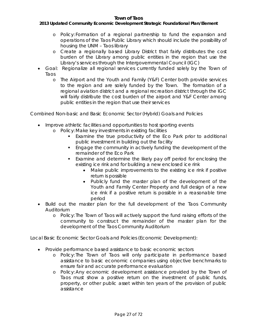### *2013 Updated Community Economic Development Strategic Foundational Plan/Element*

- o Policy: Formation of a regional partnership to fund the expansion and operations of the Taos Public Library which should include the possibility of housing the UNM – Taos library
- o Create a regionally based Library District that fairly distributes the cost burden of the Library among public entities in the region that use the Library's services through the Intergovernmental Council (IGC)
- Goal: Regionalize all regional services currently funded solely by the Town of Taos
	- o The Airport and the Youth and Family (Y&F) Center both provide services to the region and are solely funded by the Town. The formation of a regional aviation district and a regional recreation district through the IGC will fairly distribute the cost burden of the airport and Y&F Center among public entities in the region that use their services

Combined Non-basic and Basic Economic Sector (Hybrid) Goals and Policies

- Improve athletic facilities and opportunities to host sporting events
	- o Policy: Make key investments in existing facilities
		- Examine the true productivity of the Eco Park prior to additional public investment in building out the facility
		- **Engage the community in actively funding the development of the** remainder of the Eco Park
		- Examine and determine the likely pay off period for enclosing the existing ice rink and for building a new enclosed ice rink
			- Make public improvements to the existing ice rink if positive return is possible
			- Publicly fund the master plan of the development of the Youth and Family Center Property and full design of a new ice rink if a positive return is possible in a reasonable time period
- Build out the master plan for the full development of the Taos Community Auditorium
	- o Policy: The Town of Taos will actively support the fund raising efforts of the community to construct the remainder of the master plan for the development of the Taos Community Auditorium

Local Basic Economic Sector Goals and Policies (Economic Development):

- Provide performance based assistance to basic economic sectors
	- o Policy: The Town of Taos will only participate in performance based assistance to basic economic companies using objective benchmarks to ensure fair and accurate performance evaluation
	- o Policy: Any economic development assistance provided by the Town of Taos must show a positive return on the investment of public funds, property, or other public asset within ten years of the provision of public assistance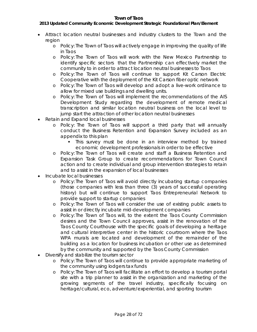# *2013 Updated Community Economic Development Strategic Foundational Plan/Element*

- Attract location neutral businesses and industry clusters to the Town and the region
	- o Policy: The Town of Taos will actively engage in improving the quality of life in Taos
	- o Policy: The Town of Taos will work with the New Mexico Partnership to identify specific sectors that the Partnership can effectively market the community to in order to attract location neutral businesses to Taos
	- o Policy: The Town of Taos will continue to support Kit Carson Electric Cooperative with the deployment of the Kit Carson fiber optic network
	- o Policy: The Town of Taos will develop and adopt a live-work ordinance to allow for mixed use buildings and dwelling units.
	- o Policy: The Town of Taos will implement the recommendations of the AIS Development Study regarding the development of remote medical transcription and similar location neutral business on the local level to jump start the attraction of other location neutral businesses
- Retain and Expand local businesses
	- o Policy: The Town of Taos will support a third party that will annually conduct the Business Retention and Expansion Survey included as an appendix to this plan
		- This survey must be done in an interview method by trained economic development professionals in order to be effective
	- o Policy: The Town of Taos will create and staff a Business Retention and Expansion Task Group to create recommendations for Town Council action and to create individual and group intervention strategies to retain and to assist in the expansion of local businesses
- Incubate local businesses
	- o Policy: The Town of Taos will avoid directly incubating startup companies (those companies with less than three (3) years of successful operating history) but will continue to support Taos Entrepreneurial Network to provide support to startup companies
	- o Policy: The Town of Taos will consider the use of existing public assets to assist in or directly incubate mid-development companies
	- o Policy: The Town of Taos will, to the extent the Taos County Commission desires and the Town Council approves, assist in the renovation of the Taos County Courthouse with the specific goals of developing a heritage and cultural interpretive center in the historic courtroom where the Taos WPA murals are located and development of the remainder of the building as a location for business incubation or other use as determined by the community and supported by the Taos County Commission
- Diversify and stabilize the tourism sector
	- o Policy: The Town of Taos will continue to provide appropriate marketing of the community using lodgers tax funds
	- o Policy: The Town of Taos will facilitate an effort to develop a tourism portal site with a trip planner to assist in the organization and marketing of the growing segments of the travel industry, specifically focusing on heritage/cultural, eco, adventure/experiential, and sporting tourism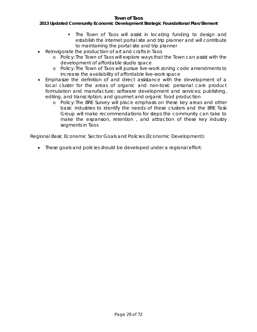# *2013 Updated Community Economic Development Strategic Foundational Plan/Element*

- The Town of Taos will assist in locating funding to design and establish the internet portal site and trip planner and will contribute to maintaining the portal site and trip planner
- Reinvigorate the production of art and crafts in Taos
	- o Policy: The Town of Taos will explore ways that the Town can assist with the development of affordable studio space
	- o Policy: The Town of Taos will pursue live-work zoning code amendments to increase the availability of affordable live-work space
- Emphasize the definition of and direct assistance with the development of a local cluster for the areas of organic and non-toxic personal care product formulation and manufacture; software development and services; publishing, editing, and transcription; and gourmet and organic food production
	- o Policy: The BRE Survey will place emphasis on these key areas and other basic industries to identify the needs of these clusters and the BRE Task Group will make recommendations for steps the community can take to make the expansion, retention , and attraction of these key industry segments in Taos

Regional Basic Economic Sector Goals and Policies (Economic Development):

• These goals and policies should be developed under a regional effort.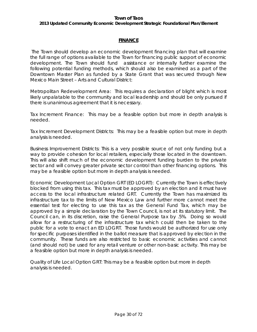# *2013 Updated Community Economic Development Strategic Foundational Plan/Element*

# **FINANCE**

The Town should develop an economic development financing plan that will examine the full range of options available to the Town for financing public support of economic development. The Town should fund assistance or internally further examine the following potential funding methods, which should also be examined as a part of the Downtown Master Plan as funded by a State Grant that was secured through New Mexico Main Street – Arts and Cultural District:

Metropolitan Redevelopment Area: This requires a declaration of blight which is most likely unpalatable to the community and local leadership and should be only pursued if there is unanimous agreement that it is necessary.

Tax Increment Finance: This may be a feasible option but more in depth analysis is needed.

Tax Increment Development Districts: This may be a feasible option but more in depth analysis is needed.

Business Improvement Districts: This is a very possible source of not only funding but a way to provide cohesion for local retailers, especially those located in the downtown. This will also shift much of the economic development funding burden to the private sector and will convey greater private sector control than other financing options. This may be a feasible option but more in depth analysis is needed.

Economic Development Local Option GRT (ED LOGRT): Currently the Town is effectively blocked from using this tax. This tax must be approved by an election and it must have access to the local infrastructure related GRT. Currently the Town has maximized its infrastructure tax to the limits of New Mexico Law and further more cannot meet the essential test for electing to use this tax as the General Fund Tax, which may be approved by a simple declaration by the Town Council, is not at its statutory limit. The Council can, in its discretion, raise the General Purpose tax by .5%. Doing so would allow for a restructuring of the infrastructure tax which could then be taken to the public for a vote to enact an ED LOGRT. Those funds would be authorized for use only for specific purposes identified in the ballot measure that is approved by election in the community. These funds are also restricted to basic economic activities and cannot (and should not) be used for any retail venture or other non-basic activity. This may be a feasible option but more in depth analysis is needed.

Quality of Life Local Option GRT: This may be a feasible option but more in depth analysis is needed.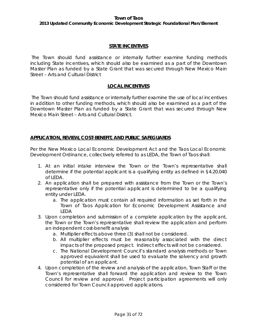*2013 Updated Community Economic Development Strategic Foundational Plan/Element*

# **STATE INCENTIVES**

The Town should fund assistance or internally further examine funding methods including State incentives, which should also be examined as a part of the Downtown Master Plan as funded by a State Grant that was secured through New Mexico Main Street – Arts and Cultural District

# **LOCAL INCENTIVES**

The Town should fund assistance or internally further examine the use of local incentives in addition to other funding methods, which should also be examined as a part of the Downtown Master Plan as funded by a State Grant that was secured through New Mexico Main Street – Arts and Cultural District.

# **APPLICATION, REVIEW, COST-BENEFIT, AND PUBLIC SAFEGUARDS**

Per the New Mexico Local Economic Development Act and the Taos Local Economic Development Ordinance, collectively referred to as LEDA, the Town of Taos shall:

- 1. At an initial intake interview the Town or the Town's representative shall determine if the potential applicant is a qualifying entity as defined in §4.20.040 of LEDA.
- 2. An application shall be prepared with assistance from the Town or the Town's representative only if the potential applicant is determined to be a qualifying entity under LEDA.
	- a. The application must contain all required information as set forth in the Town of Taos Application for Economic Development Assistance and LEDA
- 3. Upon completion and submission of a complete application by the applicant, the Town or the Town's representative shall review the application and perform an independent cost-benefit analysis
	- a. Multiplier effects above three (3) shall not be considered.
	- b. All multiplier effects must be reasonably associated with the direct impacts of the proposed project. Indirect effects will not be considered.
	- c. The National Development Council's standard analysis methods or Town approved equivalent shall be used to evaluate the solvency and growth potential of an applicant.
- 4. Upon completion of the review and analysis of the application, Town Staff or the Town's representative shall forward the application and review to the Town Council for review and approval. Project participation agreements will only considered for Town Council approved applications.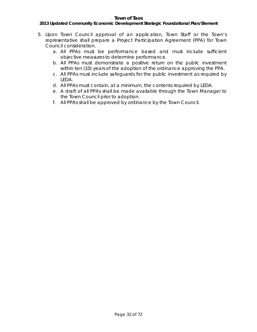# *2013 Updated Community Economic Development Strategic Foundational Plan/Element*

- 5. Upon Town Council approval of an application, Town Staff or the Town's representative shall prepare a Project Participation Agreement (PPA) for Town Council consideration.
	- a. All PPAs must be performance based and must include sufficient objective measures to determine performance.
	- b. All PPAs must demonstrate a positive return on the public investment within ten (10) years of the adoption of the ordinance approving the PPA.
	- c. All PPAs must include safeguards for the public investment as required by LEDA.
	- d. All PPAs must contain, at a minimum, the contents required by LEDA.
	- e. A draft of all PPAs shall be made available through the Town Manager to the Town Council prior to adoption.
	- f. All PPAs shall be approved by ordinance by the Town Council.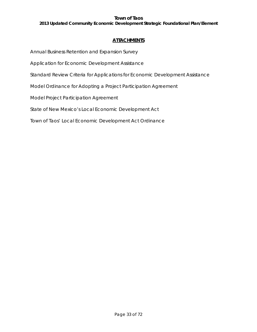*2013 Updated Community Economic Development Strategic Foundational Plan/Element*

# **ATTACHMENTS**

Annual Business Retention and Expansion Survey

Application for Economic Development Assistance

Standard Review Criteria for Applications for Economic Development Assistance

Model Ordinance for Adopting a Project Participation Agreement

Model Project Participation Agreement

State of New Mexico's Local Economic Development Act

Town of Taos' Local Economic Development Act Ordinance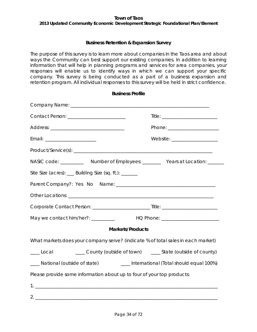*2013 Updated Community Economic Development Strategic Foundational Plan/Element*

# **Business Retention & Expansion Survey**

The purpose of this survey is to learn more about companies in the Taos area and about ways the Community can best support our existing companies. In addition to learning information that will help in planning programs and services for area companies, your responses will enable us to identify ways in which we can support your specific company. This survey is being conducted as a part of a business expansion and retention program. All individual responses to this survey will be held in strict confidence.

| <b>Business Profile</b>                                                                                                                                                                                                       |                                                               |
|-------------------------------------------------------------------------------------------------------------------------------------------------------------------------------------------------------------------------------|---------------------------------------------------------------|
|                                                                                                                                                                                                                               |                                                               |
| Contact Person: _________________________                                                                                                                                                                                     |                                                               |
|                                                                                                                                                                                                                               | Phone: _________________________                              |
| Email: ________________________                                                                                                                                                                                               | Website: ____________________                                 |
|                                                                                                                                                                                                                               |                                                               |
| NASIC code: _____________ Number of Employees: ___________ Years at Location: _______                                                                                                                                         |                                                               |
| Site Size (acres): __ Building Size (sq. ft.): ______                                                                                                                                                                         |                                                               |
|                                                                                                                                                                                                                               |                                                               |
| Other Locations: The contract of the contract of the contract of the contract of the contract of the contract of the contract of the contract of the contract of the contract of the contract of the contract of the contract |                                                               |
|                                                                                                                                                                                                                               |                                                               |
|                                                                                                                                                                                                                               |                                                               |
| <b>Markets/Products</b>                                                                                                                                                                                                       |                                                               |
| What markets does your company serve? (indicate % of total sales in each market)                                                                                                                                              |                                                               |
| $\_\_\_\$ Local                                                                                                                                                                                                               | ____ County (outside of town) _____ State (outside of county) |
| ___ National (outside of state) _______ International (Total should equal 100%)                                                                                                                                               |                                                               |
| Please provide some information about up to four of your top products:                                                                                                                                                        |                                                               |
|                                                                                                                                                                                                                               |                                                               |
|                                                                                                                                                                                                                               |                                                               |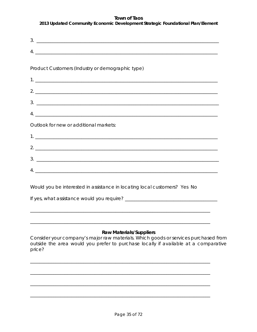| <b>IUWII UI TAUS</b><br>2013 Updated Community Economic Development Strategic Foundational Plan/Element |
|---------------------------------------------------------------------------------------------------------|
| $\frac{3}{2}$                                                                                           |
| $4. \underline{\hspace{1cm}}$                                                                           |
| Product Customers (Industry or demographic type)                                                        |
|                                                                                                         |
| $2.$ $\overline{\phantom{a}}$                                                                           |
|                                                                                                         |
|                                                                                                         |
| Outlook for new or additional markets:                                                                  |
|                                                                                                         |
|                                                                                                         |
|                                                                                                         |
|                                                                                                         |

Would you be interested in assistance in locating local customers? Yes No

# **Raw Materials/Suppliers**

Consider your company's major raw materials. Which goods or services purchased from outside the area would you prefer to purchase locally if available at a comparative price?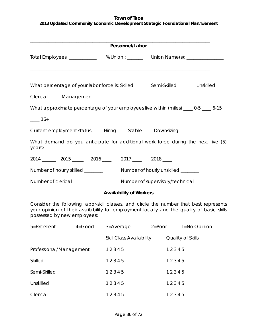| 2013 Updated Community Economic Development Strategic Foundational Plan/Element |  |  |
|---------------------------------------------------------------------------------|--|--|
|                                                                                 |  |  |

| Personnel/Labor                                                         |  |                                                                                                                                                                                     |  |                   |  |
|-------------------------------------------------------------------------|--|-------------------------------------------------------------------------------------------------------------------------------------------------------------------------------------|--|-------------------|--|
|                                                                         |  | Total Employees: ______________ % Union : _______ Union Name(s): _______________                                                                                                    |  |                   |  |
|                                                                         |  | What percentage of your labor force is: Skilled _____ Semi-Skilled ____ Unskilled ____                                                                                              |  |                   |  |
| Clerical_____ Management ____                                           |  |                                                                                                                                                                                     |  |                   |  |
|                                                                         |  | What approximate percentage of your employees live within (miles) ___ 0-5 ___ 6-15                                                                                                  |  |                   |  |
| $-16+$                                                                  |  |                                                                                                                                                                                     |  |                   |  |
|                                                                         |  | Current employment status: ____ Hiring ____ Stable ____ Downsizing                                                                                                                  |  |                   |  |
| years?                                                                  |  | What demand do you anticipate for additional work force during the next five (5)                                                                                                    |  |                   |  |
|                                                                         |  | 2014 2015 2016 2016 2017 2018                                                                                                                                                       |  |                   |  |
| Number of hourly skilled _______<br>Number of hourly unskilled ________ |  |                                                                                                                                                                                     |  |                   |  |
| Number of clerical _______<br>Number of supervisory/technical ______    |  |                                                                                                                                                                                     |  |                   |  |
|                                                                         |  | <b>Availability of Workers</b>                                                                                                                                                      |  |                   |  |
| possessed by new employees:                                             |  | Consider the following labor-skill classes, and circle the number that best represents<br>your opinion of their availability for employment locally and the quality of basic skills |  |                   |  |
|                                                                         |  | 5=Excellent 4=Good 3=Average 2=Poor 1=No Opinion                                                                                                                                    |  |                   |  |
|                                                                         |  | Skill Class Availability                                                                                                                                                            |  | Quality of Skills |  |
| Professional/Management                                                 |  | 12345                                                                                                                                                                               |  | 12345             |  |
| Skilled                                                                 |  | 12345                                                                                                                                                                               |  | 12345             |  |
| Semi-Skilled                                                            |  | 12345                                                                                                                                                                               |  | 12345             |  |

Unskilled 1 2 3 4 5 1 2 3 4 5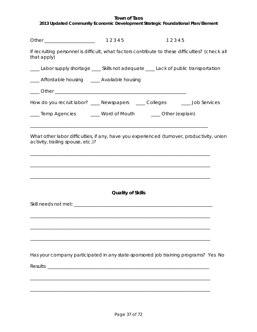|  | 2013 Updated Community Economic Development Strategic Foundational Plan/Element |
|--|---------------------------------------------------------------------------------|

|                                                                                                                                                                                                                     |                          | 12345 |  |
|---------------------------------------------------------------------------------------------------------------------------------------------------------------------------------------------------------------------|--------------------------|-------|--|
| If recruiting personnel is difficult, what factors contribute to these difficulties? (check all<br>that apply)                                                                                                      |                          |       |  |
| Labor supply shortage ____ Skills not adequate ____ Lack of public transportation                                                                                                                                   |                          |       |  |
| ___ Affordable housing __ Available housing                                                                                                                                                                         |                          |       |  |
|                                                                                                                                                                                                                     |                          |       |  |
| How do you recruit labor? ____ Newspapers _____ Colleges ______ Job Services                                                                                                                                        |                          |       |  |
| ____ Temp Agencies ______ Word of Mouth ______ Other (explain)                                                                                                                                                      |                          |       |  |
| ,我们也不会有一个人的人,我们也不会有一个人的人。""我们,我们也不会有一个人的人,我们也不会有一个人的人,我们也不会有一个人的人,我们也不会有一个人的人,我们<br>What other labor difficulties, if any, have you experienced (turnover, productivity, union<br>activity, trailing spouse, etc.)? |                          |       |  |
|                                                                                                                                                                                                                     |                          |       |  |
|                                                                                                                                                                                                                     | <b>Quality of Skills</b> |       |  |
|                                                                                                                                                                                                                     |                          |       |  |
|                                                                                                                                                                                                                     |                          |       |  |
|                                                                                                                                                                                                                     |                          |       |  |
|                                                                                                                                                                                                                     |                          |       |  |
|                                                                                                                                                                                                                     |                          |       |  |
| Has your company participated in any state-sponsored job training programs? Yes No                                                                                                                                  |                          |       |  |
|                                                                                                                                                                                                                     |                          |       |  |
|                                                                                                                                                                                                                     |                          |       |  |
|                                                                                                                                                                                                                     |                          |       |  |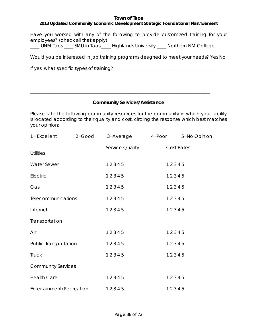## *2013 Updated Community Economic Development Strategic Foundational Plan/Element*

Have you worked with any of the following to provide customized training for your employees? (check all that apply)

\_\_\_\_ UNM Taos \_\_\_\_ SMU in Taos \_\_\_\_ Highlands University \_\_\_\_ Northern NM College

\_\_\_\_\_\_\_\_\_\_\_\_\_\_\_\_\_\_\_\_\_\_\_\_\_\_\_\_\_\_\_\_\_\_\_\_\_\_\_\_\_\_\_\_\_\_\_\_\_\_\_\_\_\_\_\_\_\_\_\_\_\_\_\_\_\_\_\_\_\_\_\_\_\_\_\_\_\_

\_\_\_\_\_\_\_\_\_\_\_\_\_\_\_\_\_\_\_\_\_\_\_\_\_\_\_\_\_\_\_\_\_\_\_\_\_\_\_\_\_\_\_\_\_\_\_\_\_\_\_\_\_\_\_\_\_\_\_\_\_\_\_\_\_\_\_\_\_\_\_\_\_\_\_\_\_\_

Would you be interested in job training programs designed to meet your needs? Yes No

If yes, what specific types of training? \_\_\_\_\_\_\_\_\_\_\_\_\_\_\_\_\_\_\_\_\_\_\_\_\_\_\_\_\_\_\_\_\_\_\_\_\_\_\_\_\_\_\_\_

#### **Community Services/Assistance**

Please rate the following community resources for the community in which your facility is located according to their quality and cost, circling the response which best matches your opinion:

| 1= Excellent              | $2 = Good$ | 3=Average 4=Poor 5=No Opinion |                   |
|---------------------------|------------|-------------------------------|-------------------|
| <b>Utilities</b>          |            | <b>Service Quality</b>        | <b>Cost Rates</b> |
| <b>Water Sewer</b>        |            | 12345                         | 12345             |
| Electric                  |            | 12345                         | 12345             |
| Gas                       |            | 12345                         | 12345             |
| <b>Telecommunications</b> |            | 12345                         | 12345             |
| Internet                  |            | 12345                         | 12345             |
| Transportation            |            |                               |                   |
| Air                       |            | 12345                         | 12345             |
| Public Transportation     |            | 12345                         | 12345             |
| <b>Truck</b>              |            | 12345                         | 12345             |
| <b>Community Services</b> |            |                               |                   |
| <b>Health Care</b>        |            | 12345                         | 12345             |
| Entertainment/Recreation  |            | 12345                         | 12345             |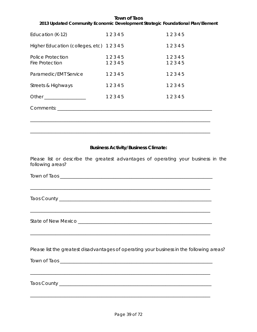#### **Town of Taos** *2013 Updated Community Economic Development Strategic Foundational Plan/Element*

| Education (K-12)                                   | 12345          | 12345          |
|----------------------------------------------------|----------------|----------------|
| Higher Education (colleges, etc) 12345             |                | 12345          |
| <b>Police Protection</b><br><b>Fire Protection</b> | 12345<br>12345 | 12345<br>12345 |
| Paramedic/EMT Service                              | 12345          | 12345          |
| Streets & Highways                                 | 12345          | 12345          |
| Other ___________________                          | 12345          | 12345          |
| Comments:                                          |                |                |
|                                                    |                |                |

\_\_\_\_\_\_\_\_\_\_\_\_\_\_\_\_\_\_\_\_\_\_\_\_\_\_\_\_\_\_\_\_\_\_\_\_\_\_\_\_\_\_\_\_\_\_\_\_\_\_\_\_\_\_\_\_\_\_\_\_\_\_\_\_\_\_\_\_\_\_\_\_\_\_\_\_\_\_

\_\_\_\_\_\_\_\_\_\_\_\_\_\_\_\_\_\_\_\_\_\_\_\_\_\_\_\_\_\_\_\_\_\_\_\_\_\_\_\_\_\_\_\_\_\_\_\_\_\_\_\_\_\_\_\_\_\_\_\_\_\_\_\_\_\_\_\_\_\_\_\_\_\_\_\_\_\_

## **Business Activity/Business Climate:**

Please list or describe the greatest advantages of operating your business in the following areas?

Town of Taos \_\_\_\_\_\_\_\_\_\_\_\_\_\_\_\_\_\_\_\_\_\_\_\_\_\_\_\_\_\_\_\_\_\_\_\_\_\_\_\_\_\_\_\_\_\_\_\_\_\_\_\_\_\_\_\_\_\_\_\_\_\_\_\_\_\_

\_\_\_\_\_\_\_\_\_\_\_\_\_\_\_\_\_\_\_\_\_\_\_\_\_\_\_\_\_\_\_\_\_\_\_\_\_\_\_\_\_\_\_\_\_\_\_\_\_\_\_\_\_\_\_\_\_\_\_\_\_\_\_\_\_\_\_\_\_\_\_\_\_\_\_\_\_\_

\_\_\_\_\_\_\_\_\_\_\_\_\_\_\_\_\_\_\_\_\_\_\_\_\_\_\_\_\_\_\_\_\_\_\_\_\_\_\_\_\_\_\_\_\_\_\_\_\_\_\_\_\_\_\_\_\_\_\_\_\_\_\_\_\_\_\_\_\_\_\_\_\_\_\_\_\_\_

\_\_\_\_\_\_\_\_\_\_\_\_\_\_\_\_\_\_\_\_\_\_\_\_\_\_\_\_\_\_\_\_\_\_\_\_\_\_\_\_\_\_\_\_\_\_\_\_\_\_\_\_\_\_\_\_\_\_\_\_\_\_\_\_\_\_\_\_\_\_\_\_\_\_\_\_\_\_

\_\_\_\_\_\_\_\_\_\_\_\_\_\_\_\_\_\_\_\_\_\_\_\_\_\_\_\_\_\_\_\_\_\_\_\_\_\_\_\_\_\_\_\_\_\_\_\_\_\_\_\_\_\_\_\_\_\_\_\_\_\_\_\_\_\_\_\_\_\_\_\_\_\_\_\_\_\_

Taos County

State of New Mexico \_\_\_\_\_\_\_\_\_\_\_\_\_\_\_\_\_\_\_\_\_\_\_\_\_\_\_\_\_\_\_\_\_\_\_\_\_\_\_\_\_\_\_\_\_\_\_\_\_\_\_\_\_\_\_\_\_\_

Please list the greatest disadvantages of operating your business in the following areas?

\_\_\_\_\_\_\_\_\_\_\_\_\_\_\_\_\_\_\_\_\_\_\_\_\_\_\_\_\_\_\_\_\_\_\_\_\_\_\_\_\_\_\_\_\_\_\_\_\_\_\_\_\_\_\_\_\_\_\_\_\_\_\_\_\_\_\_\_\_\_\_\_\_\_\_\_\_\_

Town of Taos \_\_\_\_\_\_\_\_\_\_\_\_\_\_\_\_\_\_\_\_\_\_\_\_\_\_\_\_\_\_\_\_\_\_\_\_\_\_\_\_\_\_\_\_\_\_\_\_\_\_\_\_\_\_\_\_\_\_\_\_\_\_\_\_\_\_

Taos County \_\_\_\_\_\_\_\_\_\_\_\_\_\_\_\_\_\_\_\_\_\_\_\_\_\_\_\_\_\_\_\_\_\_\_\_\_\_\_\_\_\_\_\_\_\_\_\_\_\_\_\_\_\_\_\_\_\_\_\_\_\_\_\_\_\_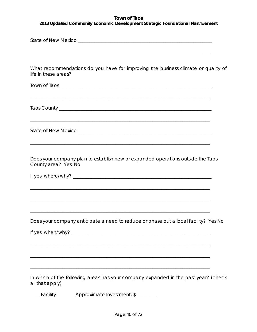*2013 Updated Community Economic Development Strategic Foundational Plan/Element*

| life in these areas? | What recommendations do you have for improving the business climate or quality of   |
|----------------------|-------------------------------------------------------------------------------------|
|                      |                                                                                     |
|                      |                                                                                     |
|                      |                                                                                     |
| County area? Yes No  | Does your company plan to establish new or expanded operations outside the Taos     |
|                      |                                                                                     |
|                      |                                                                                     |
|                      | Does your company anticipate a need to reduce or phase out a local facility? Yes No |
|                      |                                                                                     |
|                      | ,我们也不会有什么。""我们的人,我们也不会有什么?""我们的人,我们也不会有什么?""我们的人,我们的人,我们的人,我们的人,我们的人,我们的人,我们的人,我    |
| all that apply)      | In which of the following areas has your company expanded in the past year? (check  |
| Facility             | Approximate Investment: \$                                                          |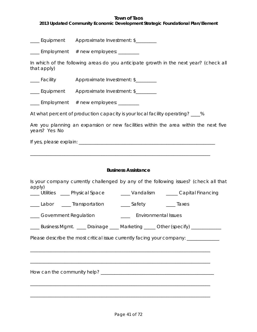*2013 Updated Community Economic Development Strategic Foundational Plan/Element*

\_\_\_\_ Equipment Approximate Investment: \$\_\_\_\_\_\_\_\_

\_\_\_\_ Employment # new employees: \_\_\_\_\_\_\_

In which of the following areas do you anticipate growth in the next year? (check all that apply)

\_\_\_\_Facility Approximate Investment: \$\_\_\_\_\_\_\_\_

\_\_\_\_ Equipment Approximate Investment: \$\_\_\_\_\_\_\_\_

 $\frac{1}{2}$  Employment  $\#$  new employees:  $\frac{1}{2}$ 

At what percent of production capacity is your local facility operating? \_\_\_%

\_\_\_\_\_\_\_\_\_\_\_\_\_\_\_\_\_\_\_\_\_\_\_\_\_\_\_\_\_\_\_\_\_\_\_\_\_\_\_\_\_\_\_\_\_\_\_\_\_\_\_\_\_\_\_\_\_\_\_\_\_\_\_\_\_\_\_\_\_\_\_\_\_\_\_\_\_\_

Are you planning an expansion or new facilities within the area within the next five years? Yes No

If yes, please explain: \_\_\_\_\_\_\_\_\_\_\_\_\_\_\_\_\_\_\_\_\_\_\_\_\_\_\_\_\_\_\_\_\_\_\_\_\_\_\_\_\_\_\_\_\_\_\_\_\_\_\_\_\_\_\_\_\_\_\_

## **Business Assistance**

| apply)                                                                 | Is your company currently challenged by any of the following issues? (check all that |
|------------------------------------------------------------------------|--------------------------------------------------------------------------------------|
|                                                                        | ___ Utilities ____ Physical Space ___ Vandalism ____ Capital Financing               |
| ____Labor ____Transportation _____Safety ______Taxes                   |                                                                                      |
| Covernment Regulation <b>Constant Covernment Covernment</b> Regulation |                                                                                      |
|                                                                        | ____ Business Mgmt. ____ Drainage ____ Marketing ____ Other (specify) __________     |
|                                                                        | Please describe the most critical issue currently facing your company: __________    |
|                                                                        |                                                                                      |
|                                                                        |                                                                                      |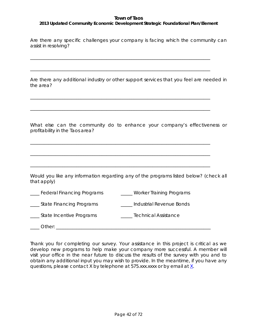## *2013 Updated Community Economic Development Strategic Foundational Plan/Element*

Are there any specific challenges your company is facing which the community can assist in resolving?

\_\_\_\_\_\_\_\_\_\_\_\_\_\_\_\_\_\_\_\_\_\_\_\_\_\_\_\_\_\_\_\_\_\_\_\_\_\_\_\_\_\_\_\_\_\_\_\_\_\_\_\_\_\_\_\_\_\_\_\_\_\_\_\_\_\_\_\_\_\_\_\_\_\_\_\_\_\_

\_\_\_\_\_\_\_\_\_\_\_\_\_\_\_\_\_\_\_\_\_\_\_\_\_\_\_\_\_\_\_\_\_\_\_\_\_\_\_\_\_\_\_\_\_\_\_\_\_\_\_\_\_\_\_\_\_\_\_\_\_\_\_\_\_\_\_\_\_\_\_\_\_\_\_\_\_\_

\_\_\_\_\_\_\_\_\_\_\_\_\_\_\_\_\_\_\_\_\_\_\_\_\_\_\_\_\_\_\_\_\_\_\_\_\_\_\_\_\_\_\_\_\_\_\_\_\_\_\_\_\_\_\_\_\_\_\_\_\_\_\_\_\_\_\_\_\_\_\_\_\_\_\_\_\_\_

\_\_\_\_\_\_\_\_\_\_\_\_\_\_\_\_\_\_\_\_\_\_\_\_\_\_\_\_\_\_\_\_\_\_\_\_\_\_\_\_\_\_\_\_\_\_\_\_\_\_\_\_\_\_\_\_\_\_\_\_\_\_\_\_\_\_\_\_\_\_\_\_\_\_\_\_\_\_

\_\_\_\_\_\_\_\_\_\_\_\_\_\_\_\_\_\_\_\_\_\_\_\_\_\_\_\_\_\_\_\_\_\_\_\_\_\_\_\_\_\_\_\_\_\_\_\_\_\_\_\_\_\_\_\_\_\_\_\_\_\_\_\_\_\_\_\_\_\_\_\_\_\_\_\_\_\_

\_\_\_\_\_\_\_\_\_\_\_\_\_\_\_\_\_\_\_\_\_\_\_\_\_\_\_\_\_\_\_\_\_\_\_\_\_\_\_\_\_\_\_\_\_\_\_\_\_\_\_\_\_\_\_\_\_\_\_\_\_\_\_\_\_\_\_\_\_\_\_\_\_\_\_\_\_\_

\_\_\_\_\_\_\_\_\_\_\_\_\_\_\_\_\_\_\_\_\_\_\_\_\_\_\_\_\_\_\_\_\_\_\_\_\_\_\_\_\_\_\_\_\_\_\_\_\_\_\_\_\_\_\_\_\_\_\_\_\_\_\_\_\_\_\_\_\_\_\_\_\_\_\_\_\_\_

Are there any additional industry or other support services that you feel are needed in the area?

What else can the community do to enhance your company's effectiveness or profitability in the Taos area?

Would you like any information regarding any of the programs listed below? (check all that apply)

| ___ Federal Financing Programs | Worker Training Programs |
|--------------------------------|--------------------------|
|--------------------------------|--------------------------|

\_\_\_\_ State Financing Programs \_\_\_\_\_ Industrial Revenue Bonds

questions, please contact X by telephone at 575.xxx.xxxx or by email at [X.](mailto:mspriggs@taosgov.com)

\_\_\_\_ State Incentive Programs \_\_\_\_\_ Technical Assistance

 $\bigcirc$  then:

Thank you for completing our survey. Your assistance in this project is critical as we develop new programs to help make your company more successful. A member will visit your office in the near future to discuss the results of the survey with you and to obtain any additional input you may wish to provide. In the meantime, if you have any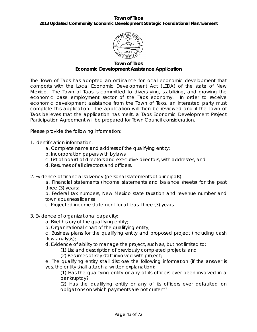#### **Town of Taos** *2013 Updated Community Economic Development Strategic Foundational Plan/Element*



**Town of Taos Economic Development Assistance Application**

The Town of Taos has adopted an ordinance for local economic development that comports with the Local Economic Development Act (LEDA) of the state of New Mexico. The Town of Taos is committed to diversifying, stabilizing, and growing the economic base employment sector of the Taos economy. In order to receive economic development assistance from the Town of Taos, an interested party must complete this application. The application will then be reviewed and if the Town of Taos believes that the application has merit, a Taos Economic Development Project Participation Agreement will be prepared for Town Council consideration.

Please provide the following information:

1. Identification information:

- a. Complete name and address of the qualifying entity;
- b. Incorporation papers with bylaws;
- c. List of board of directors and executive directors, with addresses; and
- d. Resumes of all directors and officers.
- 2. Evidence of financial solvency (personal statements of principals):

a. Financial statements (income statements and balance sheets) for the past three (3) years;

b. Federal tax numbers, New Mexico state taxation and revenue number and town's business license;

c. Projected income statement for at least three (3) years.

- 3. Evidence of organizational capacity:
	- a. Brief history of the qualifying entity;
	- b. Organizational chart of the qualifying entity;

c. Business plans for the qualifying entity and proposed project (including cash flow analysis);

- d. Evidence of ability to manage the project, such as, but not limited to:
	- (1) List and description of previously completed projects; and
	- (2) Resumes of key staff involved with project;

e. The qualifying entity shall disclose the following information (if the answer is yes, the entity shall attach a written explanation):

(1) Has the qualifying entity or any of its officers ever been involved in a bankruptcy?

(2) Has the qualifying entity or any of its officers ever defaulted on obligations on which payments are not current?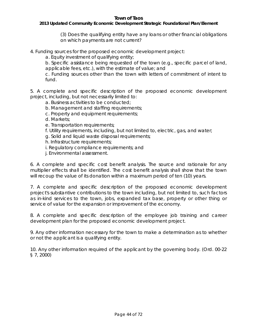#### *2013 Updated Community Economic Development Strategic Foundational Plan/Element*

(3) Does the qualifying entity have any loans or other financial obligations on which payments are not current?

4. Funding sources for the proposed economic development project:

a. Equity investment of qualifying entity;

b. Specific assistance being requested of the town (e.g., specific parcel of land, applicable fees, etc.), with the estimate of value; and

c. Funding sources other than the town with letters of commitment of intent to fund.

5. A complete and specific description of the proposed economic development project, including, but not necessarily limited to:

- a. Business activities to be conducted;
- b. Management and staffing requirements;
- c. Property and equipment requirements;
- d. Markets;
- e. Transportation requirements;
- f. Utility requirements, including, but not limited to, electric, gas, and water;
- g. Solid and liquid waste disposal requirements;
- h. Infrastructure requirements;
- i. Regulatory compliance requirements; and
- j. Environmental assessment.

6. A complete and specific cost benefit analysis. The source and rationale for any multiplier effects shall be identified. The cost benefit analysis shall show that the town will recoup the value of its donation within a maximum period of ten (10) years.

7. A complete and specific description of the proposed economic development project's substantive contributions to the town including, but not limited to, such factors as in-kind services to the town, jobs, expanded tax base, property or other thing or service of value for the expansion or improvement of the economy.

8. A complete and specific description of the employee job training and career development plan for the proposed economic development project.

9. Any other information necessary for the town to make a determination as to whether or not the applicant is a qualifying entity.

10. Any other information required of the applicant by the governing body. (Ord. 00-22 § 7, 2000)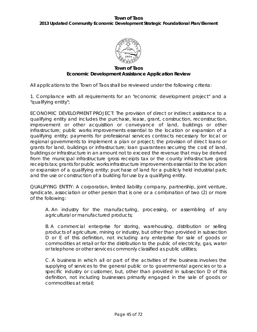

#### **Town of Taos Economic Development Assistance Application Review**

All applications to the Town of Taos shall be reviewed under the following criteria:

1. Compliance with all requirements for an "economic development project" and a "qualifying entity";

ECONOMIC DEVELOPMENT PROJECT: The provision of direct or indirect assistance to a qualifying entity and includes the purchase, lease, grant, construction, reconstruction, improvement or other acquisition or conveyance of land, buildings or other infrastructure; public works improvements essential to the location or expansion of a qualifying entity; payments for professional services contracts necessary for local or regional governments to implement a plan or project; the provision of direct loans or grants for land, buildings or infrastructure; loan guarantees securing the cost of land, buildings or infrastructure in an amount not to exceed the revenue that may be derived from the municipal infrastructure gross receipts tax or the county infrastructure gross receipts tax; grants for public works infrastructure improvements essential to the location or expansion of a qualifying entity; purchase of land for a publicly held industrial park; and the use or construction of a building for use by a qualifying entity.

QUALIFYING ENTITY: A corporation, limited liability company, partnership, joint venture, syndicate, association or other person that is one or a combination of two (2) or more of the following:

A. An industry for the manufacturing, processing, or assembling of any agricultural or manufactured products;

B. A commercial enterprise for storing, warehousing, distribution or selling products of agriculture, mining or industry, but other than provided in subsection D or E of this definition, not including any enterprise for sale of goods or commodities at retail or for the distribution to the public of electricity, gas, water or telephone or other services commonly classified as public utilities;

C. A business in which all or part of the activities of the business involves the supplying of services to the general public or to governmental agencies or to a specific industry or customer, but, other than provided in subsection D of this definition, not including businesses primarily engaged in the sale of goods or commodities at retail;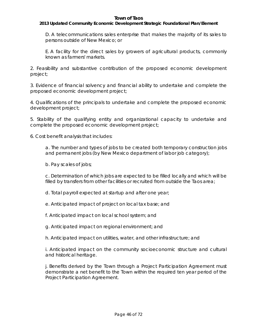#### *2013 Updated Community Economic Development Strategic Foundational Plan/Element*

D. A telecommunications sales enterprise that makes the majority of its sales to persons outside of New Mexico; or

E. A facility for the direct sales by growers of agricultural products, commonly known as farmers' markets.

2. Feasibility and substantive contribution of the proposed economic development project;

3. Evidence of financial solvency and financial ability to undertake and complete the proposed economic development project;

4. Qualifications of the principals to undertake and complete the proposed economic development project;

5. Stability of the qualifying entity and organizational capacity to undertake and complete the proposed economic development project;

6. Cost benefit analysis that includes:

a. The number and types of jobs to be created both temporary construction jobs and permanent jobs (by New Mexico department of labor job category);

b. Pay scales of jobs;

c. Determination of which jobs are expected to be filled locally and which will be filled by transfers from other facilities or recruited from outside the Taos area;

d. Total payroll expected at startup and after one year;

e. Anticipated impact of project on local tax base; and

f. Anticipated impact on local school system; and

g. Anticipated impact on regional environment; and

h. Anticipated impact on utilities, water, and other infrastructure; and

i. Anticipated impact on the community socioeconomic structure and cultural and historical heritage.

j. Benefits derived by the Town through a Project Participation Agreement must demonstrate a net benefit to the Town within the required ten year period of the Project Participation Agreement.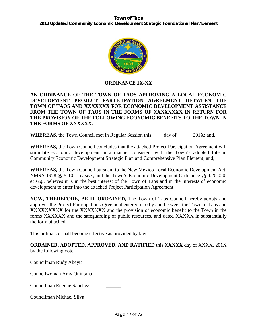

## **ORDINANCE 1X-XX**

## **AN ORDINANCE OF THE TOWN OF TAOS APPROVING A LOCAL ECONOMIC DEVELOPMENT PROJECT PARTICIPATION AGREEMENT BETWEEN THE TOWN OF TAOS AND XXXXXXX FOR ECONOMIC DEVELOPMENT ASSISTANCE FROM THE TOWN OF TAOS IN THE FORMS OF XXXXXXXX IN RETURN FOR THE PROVISION OF THE FOLLOWING ECONOMIC BENEFITS TO THE TOWN IN THE FORMS OF XXXXXX.**

**WHEREAS,** the Town Council met in Regular Session this \_\_\_\_ day of \_\_\_\_\_, 201X; and,

**WHEREAS,** the Town Council concludes that the attached Project Participation Agreement will stimulate economic development in a manner consistent with the Town's adopted Interim Community Economic Development Strategic Plan and Comprehensive Plan Element; and,

**WHEREAS,** the Town Council pursuant to the New Mexico Local Economic Development Act, NMSA 1978 §§ 5-10-1, *et seq.*, and the Town's Economic Development Ordinance §§ 4.20.020, *et seq.*, believes it is in the best interest of the Town of Taos and in the interests of economic development to enter into the attached Project Participation Agreement;

**NOW, THEREFORE, BE IT ORDAINED,** The Town of Taos Council hereby adopts and approves the Project Participation Agreement entered into by and between the Town of Taos and XXXXXXXXX for the XXXXXXX and the provision of economic benefit to the Town in the forms XXXXXX and the safeguarding of public resources, and dated XXXXX in substantially the form attached.

This ordinance shall become effective as provided by law.

**ORDAINED, ADOPTED, APPROVED, AND RATIFIED** this **XXXXX** day of XXXX**,** 201X by the following vote:

Councilman Rudy Abeyta \_\_\_\_\_\_ Councilwoman Amy Quintana \_\_\_\_\_\_ Councilman Eugene Sanchez \_\_\_\_\_\_ Councilman Michael Silva \_\_\_\_\_\_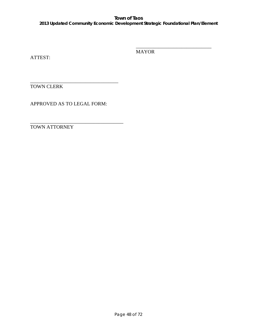### **Town of Taos** *2013 Updated Community Economic Development Strategic Foundational Plan/Element*

ATTEST:

MAYOR

\_\_\_\_\_\_\_\_\_\_\_\_\_\_\_\_\_\_\_\_\_\_\_\_\_\_\_\_\_\_

\_\_\_\_\_\_\_\_\_\_\_\_\_\_\_\_\_\_\_\_\_\_\_\_\_\_\_\_\_\_\_\_\_\_\_ TOWN CLERK

APPROVED AS TO LEGAL FORM:

\_\_\_\_\_\_\_\_\_\_\_\_\_\_\_\_\_\_\_\_\_\_\_\_\_\_\_\_\_\_\_\_\_\_\_\_\_ TOWN ATTORNEY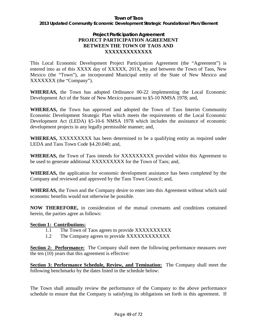*2013 Updated Community Economic Development Strategic Foundational Plan/Element*

## **Project Participation Agreement PROJECT PARTICIPATION AGREEMENT BETWEEN THE TOWN OF TAOS AND XXXXXXXXXXXXX**

This Local Economic Development Project Participation Agreement (the "Agreement") is entered into as of this XXXX day of XXXXX, 201X, by and between the Town of Taos, New Mexico (the "Town"), an incorporated Municipal entity of the State of New Mexico and XXXXXXX (the "Company").

**WHEREAS,** the Town has adopted Ordinance 00-22 implementing the Local Economic Development Act of the State of New Mexico pursuant to §5-10 NMSA 1978; and,

**WHEREAS,** the Town has approved and adopted the Town of Taos Interim Community Economic Development Strategic Plan which meets the requirements of the Local Economic Development Act (LEDA) §5-10-6 NMSA 1978 which includes the assistance of economic development projects in any legally permissible manner; and,

**WHEREAS,** XXXXXXXXX has been determined to be a qualifying entity as required under LEDA and Taos Town Code §4.20.040; and,

**WHEREAS,** the Town of Taos intends for XXXXXXXXX provided within this Agreement to be used to generate additional XXXXXXXXX for the Town of Taos; and,

**WHEREAS,** the application for economic development assistance has been completed by the Company and reviewed and approved by the Taos Town Council; and,

**WHEREAS,** the Town and the Company desire to enter into this Agreement without which said economic benefits would not otherwise be possible.

**NOW THEREFORE,** in consideration of the mutual covenants and conditions contained herein, the parties agree as follows:

## **Section 1: Contributions:**

- 1.1 The Town of Taos agrees to provide XXXXXXXXXX
- 1.2 The Company agrees to provide XXXXXXXXXXXXX

**Section 2: Performance:** The Company shall meet the following performance measures over the ten (10) years that this agreement is effective:

**Section 3: Performance Schedule, Review, and Temination:** The Company shall meet the following benchmarks by the dates listed in the schedule below:

The Town shall annually review the performance of the Company to the above performance schedule to ensure that the Company is satisfying its obligations set forth in this agreement. If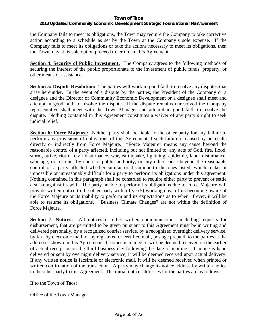### *2013 Updated Community Economic Development Strategic Foundational Plan/Element*

the Company fails to meet its obligations, the Town may require the Company to take corrective action according to a schedule as set by the Town at the Company's sole expense. If the Company fails to meet its obligations or take the actions necessary to meet its obligations, then the Town may at its sole option proceed to terminate this Agreement.

**Section 4: Security of Public Investment:** The Company agrees to the following methods of securing the interest of the public proportionate to the investment of public funds, property, or other means of assistance:

**Section 5: Dispute Resolution:** The parties will work in good faith to resolve any disputes that arise hereunder. In the event of a dispute by the parties, the President of the Company or a designee and the Director of Community Economic Development or a designee shall meet and attempt in good faith to resolve the dispute. If the dispute remains unresolved the Company representative shall meet with the Town Manager and attempt in good faith to resolve the dispute. Nothing contained in this Agreement constitutes a waiver of any party's right to seek judicial relief.

**Section 6: Force Majeure:** Neither party shall be liable to the other party for any failure to perform any provisions of obligations of this Agreement if such failure is caused by or results directly or indirectly from Force Majeure. "Force Majeure" means any cause beyond the reasonable control of a party affected, including but not limited to, any acts of God, fire, flood, storm, strike, riot or civil disturbance, war, earthquake, lightning, epidemic, labor disturbance, sabotage, or restraint by court or public authority, or any other cause beyond the reasonable control of a party affected whether similar or dissimilar to the ones listed, which makes it impossible or unreasonably difficult for a party to perform its obligations under this agreement. Nothing contained in this paragraph shall be construed to require either party to prevent or settle a strike against its will. The party unable to perform its obligations due to Force Majeure will provide written notice to the other party within five (5) working days of its becoming aware of the Force Majeure or its inability to perform and its expectations as to when, if ever, it will be able to resume its obligations. "Business Climate Changes" are not within the definition of Force Majeure.

**Section 7: Notices:** All notices or other written communications, including requests for disbursement, that are permitted to be given pursuant to this Agreement must be in writing and delivered personally, by a recognized courier service, by a recognized overnight delivery service, by fax, by electronic mail, or by registered or certified mail, postage prepaid, to the parties at the addresses shown in this Agreement. If notice is mailed, it will be deemed received on the earlier of actual receipt or on the third business day following the date of mailing. If notice is hand delivered or sent by overnight delivery service, it will be deemed received upon actual delivery. If any written notice is facsimile or electronic mail, it will be deemed received when printed or written confirmation of the transaction. A party may change its notice address by written notice to the other party to this Agreement. The initial notice addresses for the parties are as follows:

If to the Town of Taos:

Office of the Town Manager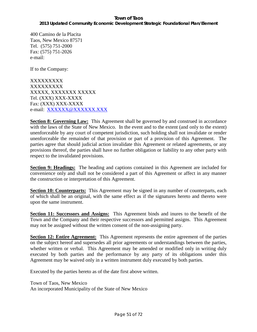# *2013 Updated Community Economic Development Strategic Foundational Plan/Element*

400 Camino de la Placita Taos, New Mexico 87571 Tel. (575) 751-2000 Fax: (575) 751-2026 e-mail:

If to the Company:

XXXXXXXXX XXXXXXXXX XXXXX, XXXXXXX XXXXX Tel. (XXX) XXX-XXXX Fax: (XXX) XXX-XXXX e-mail: XXXXXX@XXXXXXX.XXX

**Section 8: Governing Law:** This Agreement shall be governed by and construed in accordance with the laws of the State of New Mexico. In the event and to the extent (and only to the extent) unenforceable by any court of competent jurisdiction, such holding shall not invalidate or render unenforceable the remainder of that provision or part of a provision of this Agreement. The parties agree that should judicial action invalidate this Agreement or related agreements, or any provisions thereof, the parties shall have no further obligation or liability to any other party with respect to the invalidated provisions.

**Section 9: Headings:** The heading and captions contained in this Agreement are included for convenience only and shall not be considered a part of this Agreement or affect in any manner the construction or interpretation of this Agreement.

**Section 10: Counterparts:** This Agreement may be signed in any number of counterparts, each of which shall be an original, with the same effect as if the signatures hereto and thereto were upon the same instrument.

**Section 11: Successors and Assigns:** This Agreement binds and inures to the benefit of the Town and the Company and their respective successors and permitted assigns. This Agreement may not be assigned without the written consent of the non-assigning party.

**Section 12: Entire Agreement:** This Agreement represents the entire agreement of the parties on the subject hereof and supersedes all prior agreements or understandings between the parties, whether written or verbal. This Agreement may be amended or modified only in writing duly executed by both parties and the performance by any party of its obligations under this Agreement may be waived only in a written instrument duly executed by both parties.

Executed by the parties hereto as of the date first above written.

Town of Taos, New Mexico An incorporated Municipality of the State of New Mexico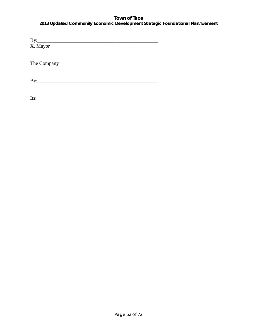*2013 Updated Community Economic Development Strategic Foundational Plan/Element*

| X, Mayor                                            |  |
|-----------------------------------------------------|--|
|                                                     |  |
|                                                     |  |
| The Company                                         |  |
|                                                     |  |
|                                                     |  |
| By:<br>the control of the control of the control of |  |
|                                                     |  |

 $Its:\_$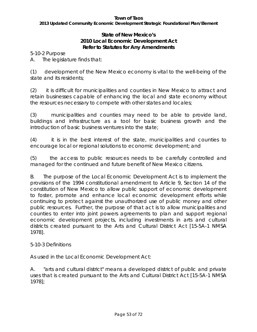*2013 Updated Community Economic Development Strategic Foundational Plan/Element*

# **State of New Mexico's 2010 Local Economic Development Act Refer to Statutes for Any Amendments**

5-10-2 Purpose

A. The legislature finds that:

(1) development of the New Mexico economy is vital to the well-being of the state and its residents;

(2) it is difficult for municipalities and counties in New Mexico to attract and retain businesses capable of enhancing the local and state economy without the resources necessary to compete with other states and locales;

(3) municipalities and counties may need to be able to provide land, buildings and infrastructure as a tool for basic business growth and the introduction of basic business ventures into the state;

(4) it is in the best interest of the state, municipalities and counties to encourage local or regional solutions to economic development; and

(5) the access to public resources needs to be carefully controlled and managed for the continued and future benefit of New Mexico citizens.

B. The purpose of the Local Economic Development Act is to implement the provisions of the 1994 constitutional amendment to Article 9, Section 14 of the constitution of New Mexico to allow public support of economic development to foster, promote and enhance local economic development efforts while continuing to protect against the unauthorized use of public money and other public resources. Further, the purpose of that act is to allow municipalities and counties to enter into joint powers agreements to plan and support regional economic development projects, including investments in arts and cultural districts created pursuant to the Arts and Cultural District Act [15-5A-1 NMSA 1978].

# 5-10-3 Definitions

As used in the Local Economic Development Act:

A. "arts and cultural district" means a developed district of public and private uses that is created pursuant to the Arts and Cultural District Act [15-5A-1 NMSA 1978];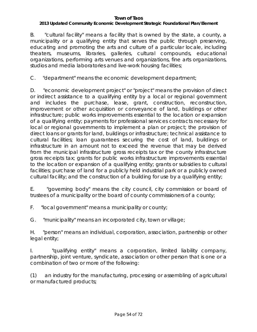# *2013 Updated Community Economic Development Strategic Foundational Plan/Element*

B. "cultural facility" means a facility that is owned by the state, a county, a municipality or a qualifying entity that serves the public through preserving, educating and promoting the arts and culture of a particular locale, including theaters, museums, libraries, galleries, cultural compounds, educational organizations, performing arts venues and organizations, fine arts organizations, studios and media laboratories and live-work housing facilities;

C. "department" means the economic development department;

D. "economic development project" or "project" means the provision of direct or indirect assistance to a qualifying entity by a local or regional government and includes the purchase, lease, grant, construction, reconstruction, improvement or other acquisition or conveyance of land, buildings or other infrastructure; public works improvements essential to the location or expansion of a qualifying entity; payments for professional services contracts necessary for local or regional governments to implement a plan or project; the provision of direct loans or grants for land, buildings or infrastructure; technical assistance to cultural facilities; loan guarantees securing the cost of land, buildings or infrastructure in an amount not to exceed the revenue that may be derived from the municipal infrastructure gross receipts tax or the county infrastructure gross receipts tax; grants for public works infrastructure improvements essential to the location or expansion of a qualifying entity; grants or subsidies to cultural facilities; purchase of land for a publicly held industrial park or a publicly owned cultural facility; and the construction of a building for use by a qualifying entity;

E. "governing body" means the city council, city commission or board of trustees of a municipality or the board of county commissioners of a county;

F. "local government" means a municipality or county;

G. "municipality" means an incorporated city, town or village;

H. "person" means an individual, corporation, association, partnership or other legal entity;

I. "qualifying entity" means a corporation, limited liability company, partnership, joint venture, syndicate, association or other person that is one or a combination of two or more of the following:

(1) an industry for the manufacturing, processing or assembling of agricultural or manufactured products;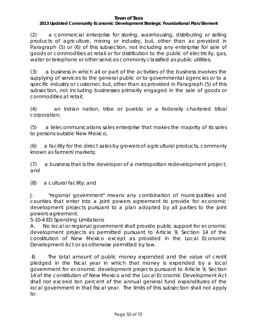## *2013 Updated Community Economic Development Strategic Foundational Plan/Element*

(2) a commercial enterprise for storing, warehousing, distributing or selling products of agriculture, mining or industry, but, other than as provided in Paragraph (5) or (6) of this subsection, not including any enterprise for sale of goods or commodities at retail or for distribution to the public of electricity, gas, water or telephone or other services commonly classified as public utilities;

(3) a business in which all or part of the activities of the business involves the supplying of services to the general public or to governmental agencies or to a specific industry or customer, but, other than as provided in Paragraph (5) of this subsection, not including businesses primarily engaged in the sale of goods or commodities at retail;

(4) an Indian nation, tribe or pueblo or a federally chartered tribal corporation;

(5) a telecommunications sales enterprise that makes the majority of its sales to persons outside New Mexico;

(6) a facility for the direct sales by growers of agricultural products, commonly known as farmers' markets;

(7) a business that is the developer of a metropolitan redevelopment project; and

(8) a cultural facility; and

J. "regional government" means any combination of municipalities and counties that enter into a joint powers agreement to provide for economic development projects pursuant to a plan adopted by all parties to the joint powers agreement.

5-10-4 ED Spending Limitations

A. No local or regional government shall provide public support for economic development projects as permitted pursuant to Article 9, Section 14 of the constitution of New Mexico except as provided in the Local Economic Development Act or as otherwise permitted by law.

B. The total amount of public money expended and the value of credit pledged in the fiscal year in which that money is expended by a local government for economic development projects pursuant to Article 9, Section 14 of the constitution of New Mexico and the Local Economic Development Act shall not exceed ten percent of the annual general fund expenditures of the local government in that fiscal year. The limits of this subsection shall not apply to: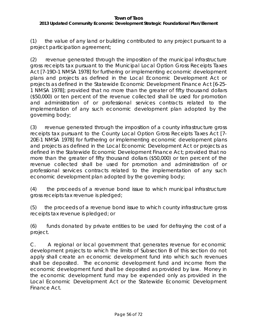# *2013 Updated Community Economic Development Strategic Foundational Plan/Element*

(1) the value of any land or building contributed to any project pursuant to a project participation agreement;

(2) revenue generated through the imposition of the municipal infrastructure gross receipts tax pursuant to the Municipal Local Option Gross Receipts Taxes Act [7-19D-1 NMSA 1978] for furthering or implementing economic development plans and projects as defined in the Local Economic Development Act or projects as defined in the Statewide Economic Development Finance Act [6-25- 1 NMSA 1978]; provided that no more than the greater of fifty thousand dollars (\$50,000) or ten percent of the revenue collected shall be used for promotion and administration of or professional services contracts related to the implementation of any such economic development plan adopted by the governing body;

(3) revenue generated through the imposition of a county infrastructure gross receipts tax pursuant to the County Local Option Gross Receipts Taxes Act [7- 20E-1 NMSA 1978] for furthering or implementing economic development plans and projects as defined in the Local Economic Development Act or projects as defined in the Statewide Economic Development Finance Act; provided that no more than the greater of fifty thousand dollars (\$50,000) or ten percent of the revenue collected shall be used for promotion and administration of or professional services contracts related to the implementation of any such economic development plan adopted by the governing body;

(4) the proceeds of a revenue bond issue to which municipal infrastructure gross receipts tax revenue is pledged;

(5) the proceeds of a revenue bond issue to which county infrastructure gross receipts tax revenue is pledged; or

(6) funds donated by private entities to be used for defraying the cost of a project.

C. A regional or local government that generates revenue for economic development projects to which the limits of Subsection B of this section do not apply shall create an economic development fund into which such revenues shall be deposited. The economic development fund and income from the economic development fund shall be deposited as provided by law. Money in the economic development fund may be expended only as provided in the Local Economic Development Act or the Statewide Economic Development Finance Act.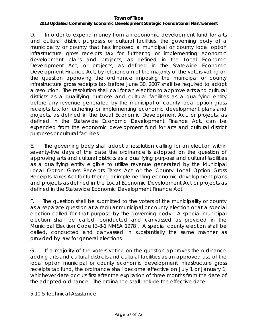## *2013 Updated Community Economic Development Strategic Foundational Plan/Element*

D. In order to expend money from an economic development fund for arts and cultural district purposes or cultural facilities, the governing body of a municipality or county that has imposed a municipal or county local option infrastructure gross receipts tax for furthering or implementing economic development plans and projects, as defined in the Local Economic Development Act, or projects, as defined in the Statewide Economic Development Finance Act, by referendum of the majority of the voters voting on the question approving the ordinance imposing the municipal or county infrastructure gross receipts tax before June 30, 2007 shall be required to adopt a resolution. The resolution shall call for an election to approve arts and cultural districts as a qualifying purpose and cultural facilities as a qualifying entity before any revenue generated by the municipal or county local option gross receipts tax for furthering or implementing economic development plans and projects, as defined in the Local Economic Development Act, or projects, as defined in the Statewide Economic Development Finance Act, can be expended from the economic development fund for arts and cultural district purposes or cultural facilities.

E. The governing body shall adopt a resolution calling for an election within seventy-five days of the date the ordinance is adopted on the question of approving arts and cultural districts as a qualifying purpose and cultural facilities as a qualifying entity eligible to utilize revenue generated by the Municipal Local Option Gross Receipts Taxes Act or the County Local Option Gross Receipts Taxes Act for furthering or implementing economic development plans and projects as defined in the Local Economic Development Act or projects as defined in the Statewide Economic Development Finance Act.

F. The question shall be submitted to the voters of the municipality or county as a separate question at a regular municipal or county election or at a special election called for that purpose by the governing body. A special municipal election shall be called, conducted and canvassed as provided in the Municipal Election Code [3-8-1 NMSA 1978]. A special county election shall be called, conducted and canvassed in substantially the same manner as provided by law for general elections.

G. If a majority of the voters voting on the question approves the ordinance adding arts and cultural districts and cultural facilities as an approved use of the local option municipal or county economic development infrastructure gross receipts tax fund, the ordinance shall become effective on July 1 or January 1, whichever date occurs first after the expiration of three months from the date of the adopted ordinance. The ordinance shall include the effective date.

5-10-5 Technical Assistance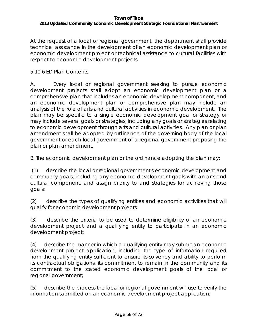# *2013 Updated Community Economic Development Strategic Foundational Plan/Element*

At the request of a local or regional government, the department shall provide technical assistance in the development of an economic development plan or economic development project or technical assistance to cultural facilities with respect to economic development projects.

# 5-10-6 ED Plan Contents

A. Every local or regional government seeking to pursue economic development projects shall adopt an economic development plan or a comprehensive plan that includes an economic development component, and an economic development plan or comprehensive plan may include an analysis of the role of arts and cultural activities in economic development. The plan may be specific to a single economic development goal or strategy or may include several goals or strategies, including any goals or strategies relating to economic development through arts and cultural activities. Any plan or plan amendment shall be adopted by ordinance of the governing body of the local government or each local government of a regional government proposing the plan or plan amendment.

B. The economic development plan or the ordinance adopting the plan may:

(1) describe the local or regional government's economic development and community goals, including any economic development goals with an arts and cultural component, and assign priority to and strategies for achieving those goals;

(2) describe the types of qualifying entities and economic activities that will qualify for economic development projects;

(3) describe the criteria to be used to determine eligibility of an economic development project and a qualifying entity to participate in an economic development project;

(4) describe the manner in which a qualifying entity may submit an economic development project application, including the type of information required from the qualifying entity sufficient to ensure its solvency and ability to perform its contractual obligations, its commitment to remain in the community and its commitment to the stated economic development goals of the local or regional government;

(5) describe the process the local or regional government will use to verify the information submitted on an economic development project application;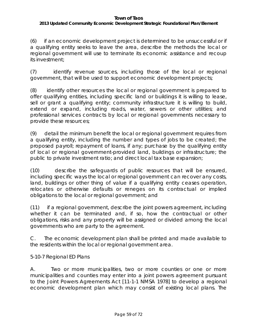# *2013 Updated Community Economic Development Strategic Foundational Plan/Element*

(6) if an economic development project is determined to be unsuccessful or if a qualifying entity seeks to leave the area, describe the methods the local or regional government will use to terminate its economic assistance and recoup its investment;

(7) identify revenue sources, including those of the local or regional government, that will be used to support economic development projects;

(8) identify other resources the local or regional government is prepared to offer qualifying entities, including specific land or buildings it is willing to lease, sell or grant a qualifying entity; community infrastructure it is willing to build, extend or expand, including roads, water, sewers or other utilities; and professional services contracts by local or regional governments necessary to provide these resources;

(9) detail the minimum benefit the local or regional government requires from a qualifying entity, including the number and types of jobs to be created; the proposed payroll; repayment of loans, if any; purchase by the qualifying entity of local or regional government-provided land, buildings or infrastructure; the public to private investment ratio; and direct local tax base expansion;

(10) describe the safeguards of public resources that will be ensured, including specific ways the local or regional government can recover any costs, land, buildings or other thing of value if a qualifying entity ceases operation, relocates or otherwise defaults or reneges on its contractual or implied obligations to the local or regional government; and

(11) if a regional government, describe the joint powers agreement, including whether it can be terminated and, if so, how the contractual or other obligations, risks and any property will be assigned or divided among the local governments who are party to the agreement.

C. The economic development plan shall be printed and made available to the residents within the local or regional government area.

5-10-7 Regional ED Plans

A. Two or more municipalities, two or more counties or one or more municipalities and counties may enter into a joint powers agreement pursuant to the Joint Powers Agreements Act [11-1-1 NMSA 1978] to develop a regional economic development plan which may consist of existing local plans. The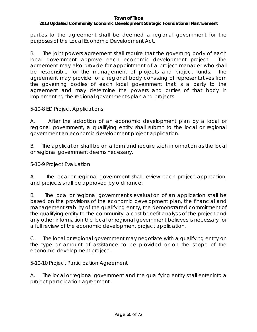## *2013 Updated Community Economic Development Strategic Foundational Plan/Element*

parties to the agreement shall be deemed a regional government for the purposes of the Local Economic Development Act.

B. The joint powers agreement shall require that the governing body of each local government approve each economic development project. The agreement may also provide for appointment of a project manager who shall be responsible for the management of projects and project funds. The agreement may provide for a regional body consisting of representatives from the governing bodies of each local government that is a party to the agreement and may determine the powers and duties of that body in implementing the regional government's plan and projects.

# 5-10-8 ED Project Applications

A. After the adoption of an economic development plan by a local or regional government, a qualifying entity shall submit to the local or regional government an economic development project application.

B. The application shall be on a form and require such information as the local or regional government deems necessary.

5-10-9 Project Evaluation

A. The local or regional government shall review each project application, and projects shall be approved by ordinance.

B. The local or regional government's evaluation of an application shall be based on the provisions of the economic development plan, the financial and management stability of the qualifying entity, the demonstrated commitment of the qualifying entity to the community, a cost-benefit analysis of the project and any other information the local or regional government believes is necessary for a full review of the economic development project application.

C. The local or regional government may negotiate with a qualifying entity on the type or amount of assistance to be provided or on the scope of the economic development project.

5-10-10 Project Participation Agreement

A. The local or regional government and the qualifying entity shall enter into a project participation agreement.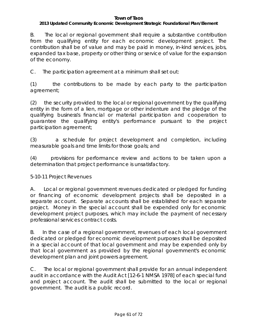## *2013 Updated Community Economic Development Strategic Foundational Plan/Element*

B. The local or regional government shall require a substantive contribution from the qualifying entity for each economic development project. The contribution shall be of value and may be paid in money, in-kind services, jobs, expanded tax base, property or other thing or service of value for the expansion of the economy.

C. The participation agreement at a minimum shall set out:

(1) the contributions to be made by each party to the participation agreement;

(2) the security provided to the local or regional government by the qualifying entity in the form of a lien, mortgage or other indenture and the pledge of the qualifying business's financial or material participation and cooperation to guarantee the qualifying entity's performance pursuant to the project participation agreement;

(3) a schedule for project development and completion, including measurable goals and time limits for those goals; and

(4) provisions for performance review and actions to be taken upon a determination that project performance is unsatisfactory.

## 5-10-11 Project Revenues

A. Local or regional government revenues dedicated or pledged for funding or financing of economic development projects shall be deposited in a separate account. Separate accounts shall be established for each separate project. Money in the special account shall be expended only for economic development project purposes, which may include the payment of necessary professional services contract costs.

B. In the case of a regional government, revenues of each local government dedicated or pledged for economic development purposes shall be deposited in a special account of that local government and may be expended only by that local government as provided by the regional government's economic development plan and joint powers agreement.

C. The local or regional government shall provide for an annual independent audit in accordance with the Audit Act [12-6-1 NMSA 1978] of each special fund and project account. The audit shall be submitted to the local or regional government. The audit is a public record.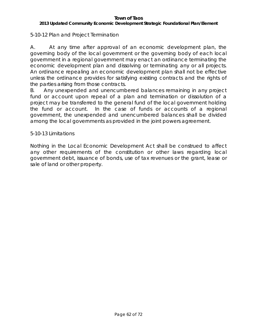## *2013 Updated Community Economic Development Strategic Foundational Plan/Element*

# 5-10-12 Plan and Project Termination

A. At any time after approval of an economic development plan, the governing body of the local government or the governing body of each local government in a regional government may enact an ordinance terminating the economic development plan and dissolving or terminating any or all projects. An ordinance repealing an economic development plan shall not be effective unless the ordinance provides for satisfying existing contracts and the rights of the parties arising from those contracts.

B. Any unexpended and unencumbered balances remaining in any project fund or account upon repeal of a plan and termination or dissolution of a project may be transferred to the general fund of the local government holding the fund or account. In the case of funds or accounts of a regional government, the unexpended and unencumbered balances shall be divided among the local governments as provided in the joint powers agreement.

## 5-10-13 Limitations

Nothing in the Local Economic Development Act shall be construed to affect any other requirements of the constitution or other laws regarding local government debt, issuance of bonds, use of tax revenues or the grant, lease or sale of land or other property.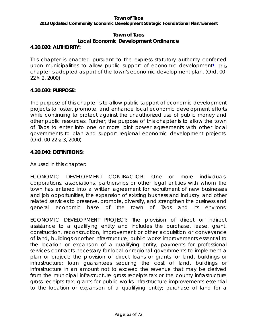*2013 Updated Community Economic Development Strategic Foundational Plan/Element*

# **Town of Taos Local Economic Development Ordinance**

# **4.20.020: AUTHORITY:**

This chapter is enacted pursuant to the express statutory authority conferred upon municipalities to allow public support of economic development**[1](http://www.sterlingcodifiers.com/codebook/getBookData.php?id=§ion_id=360748&keywords=%23Footnote1%23Footnote1)**. This chapter is adopted as part of the town's economic development plan. (Ord. 00- 22 § 2, 2000)

## **4.20.030: PURPOSE:**

The purpose of this chapter is to allow public support of economic development projects to foster, promote, and enhance local economic development efforts while continuing to protect against the unauthorized use of public money and other public resources. Further, the purpose of this chapter is to allow the town of Taos to enter into one or more joint power agreements with other local governments to plan and support regional economic development projects. (Ord. 00-22 § 3, 2000)

# **4.20.040: DEFINITIONS:**

As used in this chapter:

ECONOMIC DEVELOPMENT CONTRACTOR: One or more individuals, corporations, associations, partnerships or other legal entities with whom the town has entered into a written agreement for recruitment of new businesses and job opportunities, the expansion of existing business and industry, and other related services to preserve, promote, diversify, and strengthen the business and general economic base of the town of Taos and its environs.

ECONOMIC DEVELOPMENT PROJECT: The provision of direct or indirect assistance to a qualifying entity and includes the purchase, lease, grant, construction, reconstruction, improvement or other acquisition or conveyance of land, buildings or other infrastructure; public works improvements essential to the location or expansion of a qualifying entity; payments for professional services contracts necessary for local or regional governments to implement a plan or project; the provision of direct loans or grants for land, buildings or infrastructure; loan guarantees securing the cost of land, buildings or infrastructure in an amount not to exceed the revenue that may be derived from the municipal infrastructure gross receipts tax or the county infrastructure gross receipts tax; grants for public works infrastructure improvements essential to the location or expansion of a qualifying entity; purchase of land for a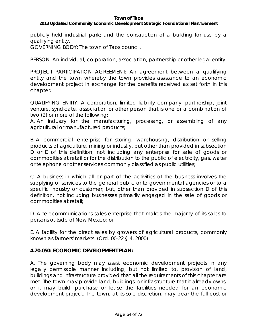## *2013 Updated Community Economic Development Strategic Foundational Plan/Element*

publicly held industrial park; and the construction of a building for use by a qualifying entity.

GOVERNING BODY: The town of Taos council.

PERSON: An individual, corporation, association, partnership or other legal entity.

PROJECT PARTICIPATION AGREEMENT: An agreement between a qualifying entity and the town whereby the town provides assistance to an economic development project in exchange for the benefits received as set forth in this chapter.

QUALIFYING ENTITY: A corporation, limited liability company, partnership, joint venture, syndicate, association or other person that is one or a combination of two (2) or more of the following:

A. An industry for the manufacturing, processing, or assembling of any agricultural or manufactured products;

B. A commercial enterprise for storing, warehousing, distribution or selling products of agriculture, mining or industry, but other than provided in subsection D or E of this definition, not including any enterprise for sale of goods or commodities at retail or for the distribution to the public of electricity, gas, water or telephone or other services commonly classified as public utilities;

C. A business in which all or part of the activities of the business involves the supplying of services to the general public or to governmental agencies or to a specific industry or customer, but, other than provided in subsection D of this definition, not including businesses primarily engaged in the sale of goods or commodities at retail;

D. A telecommunications sales enterprise that makes the majority of its sales to persons outside of New Mexico; or

E. A facility for the direct sales by growers of agricultural products, commonly known as farmers' markets. (Ord. 00-22 § 4, 2000)

## **4.20.050: ECONOMIC DEVELOPMENT PLAN:**

A. The governing body may assist economic development projects in any legally permissible manner including, but not limited to, provision of land, buildings and infrastructure provided that all the requirements of this chapter are met. The town may provide land, buildings, or infrastructure that it already owns, or it may build, purchase or lease the facilities needed for an economic development project. The town, at its sole discretion, may bear the full cost or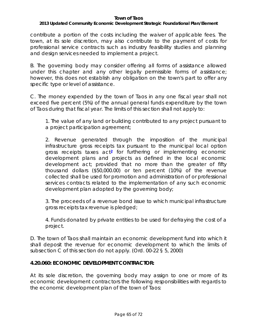## *2013 Updated Community Economic Development Strategic Foundational Plan/Element*

contribute a portion of the costs including the waiver of applicable fees. The town, at its sole discretion, may also contribute to the payment of costs for professional service contracts such as industry feasibility studies and planning and design services needed to implement a project.

B. The governing body may consider offering all forms of assistance allowed under this chapter and any other legally permissible forms of assistance; however, this does not establish any obligation on the town's part to offer any specific type or level of assistance.

C. The money expended by the town of Taos in any one fiscal year shall not exceed five percent (5%) of the annual general funds expenditure by the town of Taos during that fiscal year. The limits of this section shall not apply to:

1. The value of any land or building contributed to any project pursuant to a project participation agreement;

2. Revenue generated through the imposition of the municipal infrastructure gross receipts tax pursuant to the municipal local option gross receipts taxes act**[2](http://www.sterlingcodifiers.com/codebook/getBookData.php?id=§ion_id=360751&keywords=%23Footnote2%23Footnote2)** for furthering or implementing economic development plans and projects as defined in the local economic development act; provided that no more than the greater of fifty thousand dollars (\$50,000.00) or ten percent (10%) of the revenue collected shall be used for promotion and administration of or professional services contracts related to the implementation of any such economic development plan adopted by the governing body;

3. The proceeds of a revenue bond issue to which municipal infrastructure gross receipts tax revenue is pledged;

4. Funds donated by private entities to be used for defraying the cost of a project.

D. The town of Taos shall maintain an economic development fund into which it shall deposit the revenue for economic development to which the limits of subsection C of this section do not apply. (Ord. 00-22 § 5, 2000)

## **4.20.060: ECONOMIC DEVELOPMENT CONTRACTOR:**

At its sole discretion, the governing body may assign to one or more of its economic development contractors the following responsibilities with regards to the economic development plan of the town of Taos: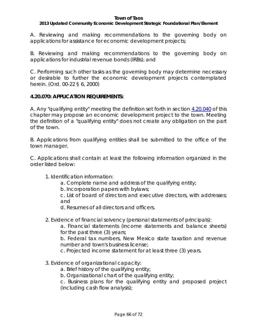## *2013 Updated Community Economic Development Strategic Foundational Plan/Element*

A. Reviewing and making recommendations to the governing body on applications for assistance for economic development projects;

B. Reviewing and making recommendations to the governing body on applications for industrial revenue bonds (IRBs); and

C. Performing such other tasks as the governing body may determine necessary or desirable to further the economic development projects contemplated herein. (Ord. 00-22 § 6, 2000)

# **4.20.070: APPLICATION REQUIREMENTS:**

A. Any "qualifying entity" meeting the definition set forth in section [4.20.040](http://www.sterlingcodifiers.com/codebook/?ft=3&find=4.20.040) of this chapter may propose an economic development project to the town. Meeting the definition of a "qualifying entity" does not create any obligation on the part of the town.

B. Applications from qualifying entities shall be submitted to the office of the town manager.

C. Applications shall contain at least the following information organized in the order listed below:

1. Identification information:

a. Complete name and address of the qualifying entity;

b. Incorporation papers with bylaws;

c. List of board of directors and executive directors, with addresses; and

d. Resumes of all directors and officers.

2. Evidence of financial solvency (personal statements of principals):

a. Financial statements (income statements and balance sheets) for the past three (3) years;

b. Federal tax numbers, New Mexico state taxation and revenue number and town's business license;

c. Projected income statement for at least three (3) years.

- 3. Evidence of organizational capacity:
	- a. Brief history of the qualifying entity;
	- b. Organizational chart of the qualifying entity;

c. Business plans for the qualifying entity and proposed project (including cash flow analysis);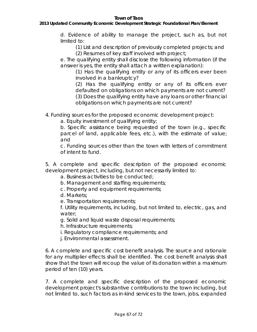## *2013 Updated Community Economic Development Strategic Foundational Plan/Element*

d. Evidence of ability to manage the project, such as, but not limited to:

(1) List and description of previously completed projects; and

(2) Resumes of key staff involved with project;

e. The qualifying entity shall disclose the following information (if the answer is yes, the entity shall attach a written explanation):

(1) Has the qualifying entity or any of its officers ever been involved in a bankruptcy?

(2) Has the qualifying entity or any of its officers ever defaulted on obligations on which payments are not current? (3) Does the qualifying entity have any loans or other financial obligations on which payments are not current?

4. Funding sources for the proposed economic development project:

a. Equity investment of qualifying entity;

b. Specific assistance being requested of the town (e.g., specific parcel of land, applicable fees, etc.), with the estimate of value; and

c. Funding sources other than the town with letters of commitment of intent to fund.

5. A complete and specific description of the proposed economic development project, including, but not necessarily limited to:

a. Business activities to be conducted;

b. Management and staffing requirements;

c. Property and equipment requirements;

d. Markets;

e. Transportation requirements;

f. Utility requirements, including, but not limited to, electric, gas, and water;

g. Solid and liquid waste disposal requirements;

h. Infrastructure requirements;

i. Regulatory compliance requirements; and

j. Environmental assessment.

6. A complete and specific cost benefit analysis. The source and rationale for any multiplier effects shall be identified. The cost benefit analysis shall show that the town will recoup the value of its donation within a maximum period of ten (10) years.

7. A complete and specific description of the proposed economic development project's substantive contributions to the town including, but not limited to, such factors as in-kind services to the town, jobs, expanded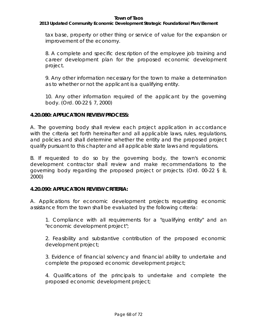## *2013 Updated Community Economic Development Strategic Foundational Plan/Element*

tax base, property or other thing or service of value for the expansion or improvement of the economy.

8. A complete and specific description of the employee job training and career development plan for the proposed economic development project.

9. Any other information necessary for the town to make a determination as to whether or not the applicant is a qualifying entity.

10. Any other information required of the applicant by the governing body. (Ord. 00-22 § 7, 2000)

# **4.20.080: APPLICATION REVIEW PROCESS:**

A. The governing body shall review each project application in accordance with the criteria set forth hereinafter and all applicable laws, rules, regulations, and policies and shall determine whether the entity and the proposed project qualify pursuant to this chapter and all applicable state laws and regulations.

B. If requested to do so by the governing body, the town's economic development contractor shall review and make recommendations to the governing body regarding the proposed project or projects. (Ord. 00-22 § 8, 2000)

## **4.20.090: APPLICATION REVIEW CRITERIA:**

A. Applications for economic development projects requesting economic assistance from the town shall be evaluated by the following criteria:

1. Compliance with all requirements for a "qualifying entity" and an "economic development project";

2. Feasibility and substantive contribution of the proposed economic development project;

3. Evidence of financial solvency and financial ability to undertake and complete the proposed economic development project;

4. Qualifications of the principals to undertake and complete the proposed economic development project;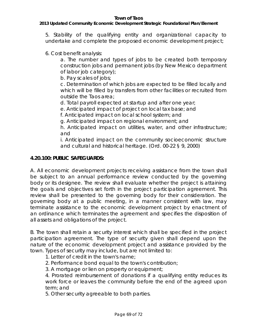## *2013 Updated Community Economic Development Strategic Foundational Plan/Element*

5. Stability of the qualifying entity and organizational capacity to undertake and complete the proposed economic development project;

6. Cost benefit analysis:

a. The number and types of jobs to be created both temporary construction jobs and permanent jobs (by New Mexico department of labor job category);

b. Pay scales of jobs;

c. Determination of which jobs are expected to be filled locally and which will be filled by transfers from other facilities or recruited from outside the Taos area;

d. Total payroll expected at startup and after one year;

e. Anticipated impact of project on local tax base; and

f. Anticipated impact on local school system; and

g. Anticipated impact on regional environment; and

h. Anticipated impact on utilities, water, and other infrastructure; and

i. Anticipated impact on the community socioeconomic structure and cultural and historical heritage. (Ord. 00-22 § 9, 2000)

# **4.20.100: PUBLIC SAFEGUARDS:**

A. All economic development projects receiving assistance from the town shall be subject to an annual performance review conducted by the governing body or its designee. The review shall evaluate whether the project is attaining the goals and objectives set forth in the project participation agreement. This review shall be presented to the governing body for their consideration. The governing body at a public meeting, in a manner consistent with law, may terminate assistance to the economic development project by enactment of an ordinance which terminates the agreement and specifies the disposition of all assets and obligations of the project.

B. The town shall retain a security interest which shall be specified in the project participation agreement. The type of security given shall depend upon the nature of the economic development project and assistance provided by the town. Types of security may include, but are not limited to:

1. Letter of credit in the town's name;

2. Performance bond equal to the town's contribution;

3. A mortgage or lien on property or equipment;

4. Prorated reimbursement of donations if a qualifying entity reduces its work force or leaves the community before the end of the agreed upon term; and

5. Other security agreeable to both parties.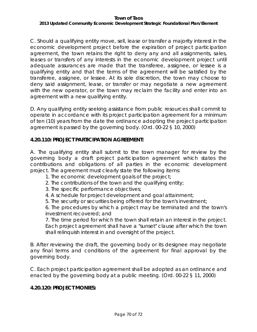#### **Town of Taos** *2013 Updated Community Economic Development Strategic Foundational Plan/Element*

C. Should a qualifying entity move, sell, lease or transfer a majority interest in the economic development project before the expiration of project participation agreement, the town retains the right to deny any and all assignments, sales, leases or transfers of any interests in the economic development project until adequate assurances are made that the transferee, assignee, or lessee is a qualifying entity and that the terms of the agreement will be satisfied by the transferee, assignee, or lessee. At its sole discretion, the town may choose to deny said assignment, lease, or transfer or may negotiate a new agreement with the new operator, or the town may reclaim the facility and enter into an agreement with a new qualifying entity.

D. Any qualifying entity seeking assistance from public resources shall commit to operate in accordance with its project participation agreement for a minimum of ten (10) years from the date the ordinance adopting the project participation agreement is passed by the governing body. (Ord. 00-22 § 10, 2000)

## **4.20.110: PROJECT PARTICIPATION AGREEMENT:**

A. The qualifying entity shall submit to the town manager for review by the governing body a draft project participation agreement which states the contributions and obligations of all parties in the economic development project. The agreement must clearly state the following items:

- 1. The economic development goals of the project;
- 2. The contributions of the town and the qualifying entity;
- 3. The specific performance objectives;
- 4. A schedule for project development and goal attainment;
- 5. The security or securities being offered for the town's investment;

6. The procedures by which a project may be terminated and the town's investment recovered; and

7. The time period for which the town shall retain an interest in the project. Each project agreement shall have a "sunset" clause after which the town shall relinquish interest in and oversight of the project.

B. After reviewing the draft, the governing body or its designee may negotiate any final terms and conditions of the agreement for final approval by the governing body.

C. Each project participation agreement shall be adopted as an ordinance and enacted by the governing body at a public meeting. (Ord. 00-22 § 11, 2000)

# **4.20.120: PROJECT MONIES:**